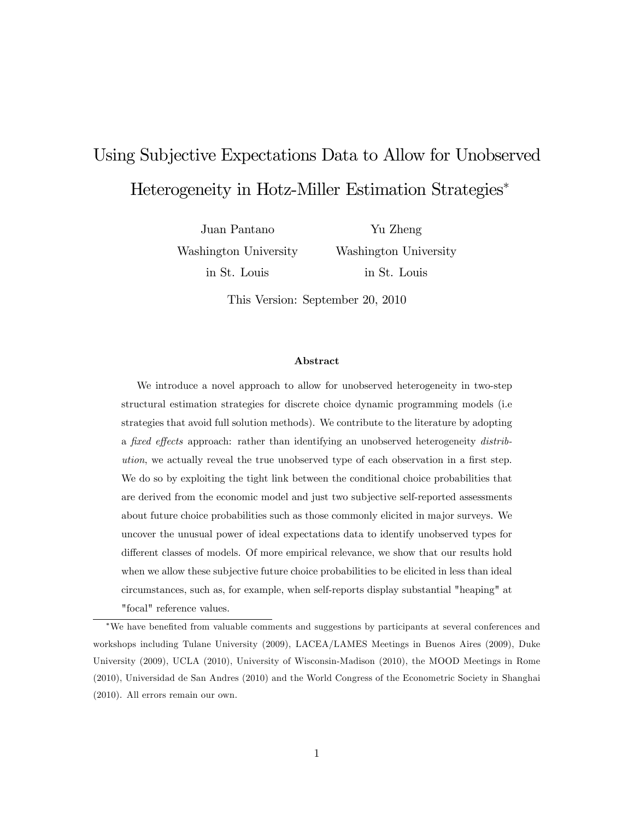# Using Subjective Expectations Data to Allow for Unobserved Heterogeneity in Hotz-Miller Estimation Strategies

Juan Pantano Washington University in St. Louis

Yu Zheng Washington University in St. Louis

This Version: September 20, 2010

#### Abstract

We introduce a novel approach to allow for unobserved heterogeneity in two-step structural estimation strategies for discrete choice dynamic programming models (i.e strategies that avoid full solution methods). We contribute to the literature by adopting a fixed effects approach: rather than identifying an unobserved heterogeneity distribution, we actually reveal the true unobserved type of each observation in a first step. We do so by exploiting the tight link between the conditional choice probabilities that are derived from the economic model and just two subjective self-reported assessments about future choice probabilities such as those commonly elicited in major surveys. We uncover the unusual power of ideal expectations data to identify unobserved types for different classes of models. Of more empirical relevance, we show that our results hold when we allow these subjective future choice probabilities to be elicited in less than ideal circumstances, such as, for example, when self-reports display substantial "heaping" at "focal" reference values.

We have beneÖted from valuable comments and suggestions by participants at several conferences and workshops including Tulane University (2009), LACEA/LAMES Meetings in Buenos Aires (2009), Duke University (2009), UCLA (2010), University of Wisconsin-Madison (2010), the MOOD Meetings in Rome (2010), Universidad de San Andres (2010) and the World Congress of the Econometric Society in Shanghai (2010). All errors remain our own.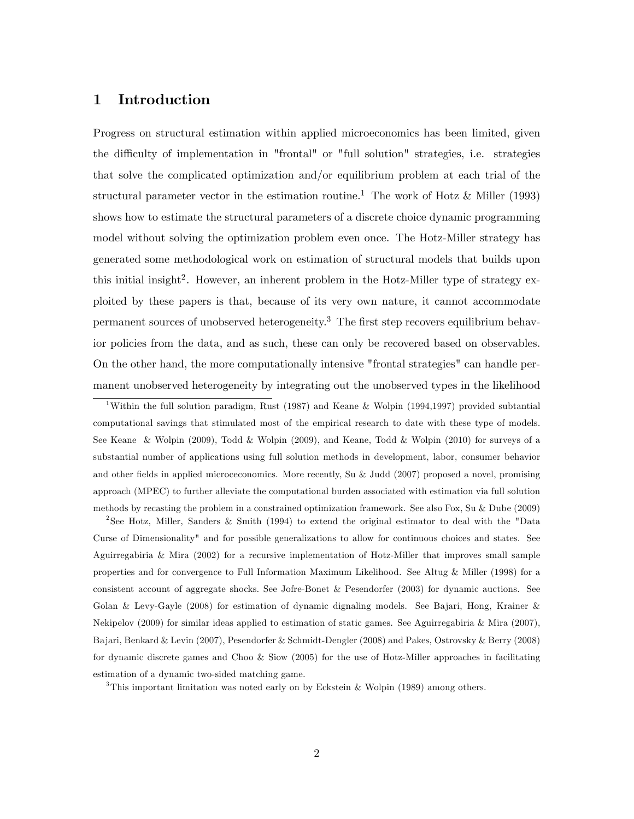### 1 Introduction

Progress on structural estimation within applied microeconomics has been limited, given the difficulty of implementation in "frontal" or "full solution" strategies, i.e. strategies that solve the complicated optimization and/or equilibrium problem at each trial of the structural parameter vector in the estimation routine.<sup>1</sup> The work of Hotz & Miller (1993) shows how to estimate the structural parameters of a discrete choice dynamic programming model without solving the optimization problem even once. The Hotz-Miller strategy has generated some methodological work on estimation of structural models that builds upon this initial insight<sup>2</sup>. However, an inherent problem in the Hotz-Miller type of strategy exploited by these papers is that, because of its very own nature, it cannot accommodate permanent sources of unobserved heterogeneity.<sup>3</sup> The first step recovers equilibrium behavior policies from the data, and as such, these can only be recovered based on observables. On the other hand, the more computationally intensive "frontal strategies" can handle permanent unobserved heterogeneity by integrating out the unobserved types in the likelihood

<sup>1</sup>Within the full solution paradigm, Rust (1987) and Keane & Wolpin (1994,1997) provided subtantial computational savings that stimulated most of the empirical research to date with these type of models. See Keane & Wolpin (2009), Todd & Wolpin (2009), and Keane, Todd & Wolpin (2010) for surveys of a substantial number of applications using full solution methods in development, labor, consumer behavior and other fields in applied microceconomics. More recently, Su & Judd (2007) proposed a novel, promising approach (MPEC) to further alleviate the computational burden associated with estimation via full solution methods by recasting the problem in a constrained optimization framework. See also Fox, Su & Dube (2009)

2 See Hotz, Miller, Sanders & Smith (1994) to extend the original estimator to deal with the "Data Curse of Dimensionality" and for possible generalizations to allow for continuous choices and states. See Aguirregabiria & Mira (2002) for a recursive implementation of Hotz-Miller that improves small sample properties and for convergence to Full Information Maximum Likelihood. See Altug & Miller (1998) for a consistent account of aggregate shocks. See Jofre-Bonet & Pesendorfer (2003) for dynamic auctions. See Golan & Levy-Gayle (2008) for estimation of dynamic dignaling models. See Bajari, Hong, Krainer & Nekipelov (2009) for similar ideas applied to estimation of static games. See Aguirregabiria & Mira (2007), Bajari, Benkard & Levin (2007), Pesendorfer & Schmidt-Dengler (2008) and Pakes, Ostrovsky & Berry (2008) for dynamic discrete games and Choo & Siow (2005) for the use of Hotz-Miller approaches in facilitating estimation of a dynamic two-sided matching game.

<sup>3</sup>This important limitation was noted early on by Eckstein & Wolpin (1989) among others.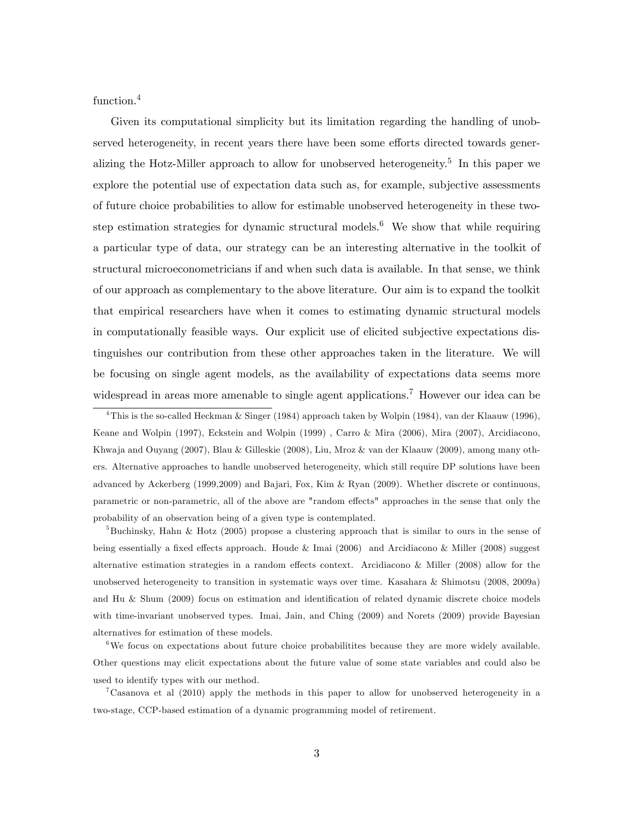function.<sup>4</sup>

Given its computational simplicity but its limitation regarding the handling of unobserved heterogeneity, in recent years there have been some efforts directed towards generalizing the Hotz-Miller approach to allow for unobserved heterogeneity.<sup>5</sup> In this paper we explore the potential use of expectation data such as, for example, subjective assessments of future choice probabilities to allow for estimable unobserved heterogeneity in these twostep estimation strategies for dynamic structural models.<sup>6</sup> We show that while requiring a particular type of data, our strategy can be an interesting alternative in the toolkit of structural microeconometricians if and when such data is available. In that sense, we think of our approach as complementary to the above literature. Our aim is to expand the toolkit that empirical researchers have when it comes to estimating dynamic structural models in computationally feasible ways. Our explicit use of elicited subjective expectations distinguishes our contribution from these other approaches taken in the literature. We will be focusing on single agent models, as the availability of expectations data seems more widespread in areas more amenable to single agent applications.<sup>7</sup> However our idea can be

<sup>4</sup>This is the so-called Heckman & Singer (1984) approach taken by Wolpin (1984), van der Klaauw (1996), Keane and Wolpin (1997), Eckstein and Wolpin (1999) , Carro & Mira (2006), Mira (2007), Arcidiacono, Khwaja and Ouyang (2007), Blau & Gilleskie (2008), Liu, Mroz & van der Klaauw (2009), among many others. Alternative approaches to handle unobserved heterogeneity, which still require DP solutions have been advanced by Ackerberg (1999,2009) and Bajari, Fox, Kim & Ryan (2009). Whether discrete or continuous, parametric or non-parametric, all of the above are "random effects" approaches in the sense that only the probability of an observation being of a given type is contemplated.

<sup>5</sup>Buchinsky, Hahn & Hotz (2005) propose a clustering approach that is similar to ours in the sense of being essentially a fixed effects approach. Houde & Imai (2006) and Arcidiacono & Miller (2008) suggest alternative estimation strategies in a random effects context. Arcidiacono & Miller (2008) allow for the unobserved heterogeneity to transition in systematic ways over time. Kasahara & Shimotsu (2008, 2009a) and Hu  $\&$  Shum (2009) focus on estimation and identification of related dynamic discrete choice models with time-invariant unobserved types. Imai, Jain, and Ching (2009) and Norets (2009) provide Bayesian alternatives for estimation of these models.

<sup>6</sup>We focus on expectations about future choice probabilities because they are more widely available. Other questions may elicit expectations about the future value of some state variables and could also be used to identify types with our method.

<sup>7</sup>Casanova et al (2010) apply the methods in this paper to allow for unobserved heterogeneity in a two-stage, CCP-based estimation of a dynamic programming model of retirement.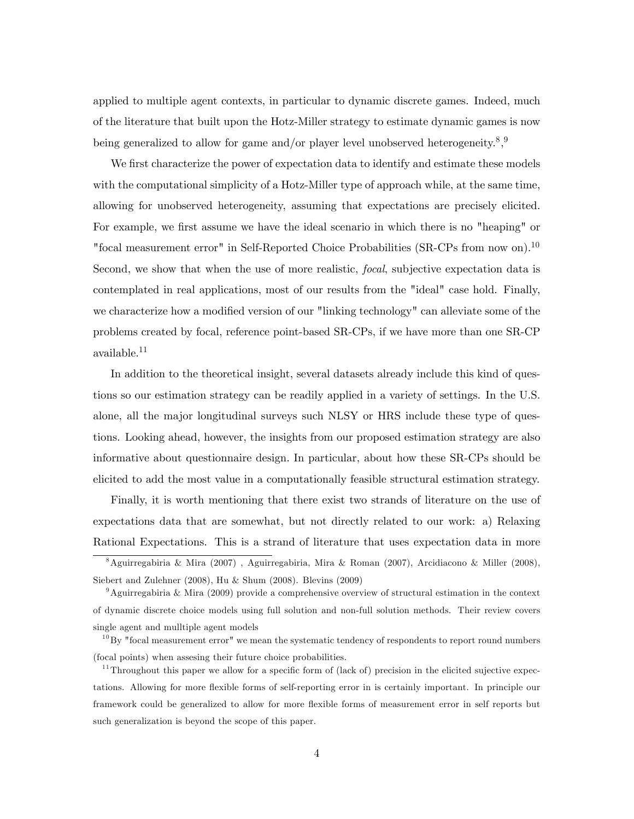applied to multiple agent contexts, in particular to dynamic discrete games. Indeed, much of the literature that built upon the Hotz-Miller strategy to estimate dynamic games is now being generalized to allow for game and/or player level unobserved heterogeneity.<sup>8</sup>,<sup>9</sup>

We first characterize the power of expectation data to identify and estimate these models with the computational simplicity of a Hotz-Miller type of approach while, at the same time, allowing for unobserved heterogeneity, assuming that expectations are precisely elicited. For example, we first assume we have the ideal scenario in which there is no "heaping" or "focal measurement error" in Self-Reported Choice Probabilities (SR-CPs from now on).<sup>10</sup> Second, we show that when the use of more realistic, focal, subjective expectation data is contemplated in real applications, most of our results from the "ideal" case hold. Finally, we characterize how a modified version of our "linking technology" can alleviate some of the problems created by focal, reference point-based SR-CPs, if we have more than one SR-CP available.<sup>11</sup>

In addition to the theoretical insight, several datasets already include this kind of questions so our estimation strategy can be readily applied in a variety of settings. In the U.S. alone, all the major longitudinal surveys such NLSY or HRS include these type of questions. Looking ahead, however, the insights from our proposed estimation strategy are also informative about questionnaire design. In particular, about how these SR-CPs should be elicited to add the most value in a computationally feasible structural estimation strategy.

Finally, it is worth mentioning that there exist two strands of literature on the use of expectations data that are somewhat, but not directly related to our work: a) Relaxing Rational Expectations. This is a strand of literature that uses expectation data in more

<sup>8</sup>Aguirregabiria & Mira (2007) , Aguirregabiria, Mira & Roman (2007), Arcidiacono & Miller (2008), Siebert and Zulehner (2008), Hu & Shum (2008). Blevins (2009)

<sup>&</sup>lt;sup>9</sup>Aguirregabiria & Mira (2009) provide a comprehensive overview of structural estimation in the context of dynamic discrete choice models using full solution and non-full solution methods. Their review covers single agent and mulltiple agent models

 $^{10}$ By "focal measurement error" we mean the systematic tendency of respondents to report round numbers (focal points) when assesing their future choice probabilities.

 $11$ Throughout this paper we allow for a specific form of (lack of) precision in the elicited sujective expectations. Allowing for more áexible forms of self-reporting error in is certainly important. In principle our framework could be generalized to allow for more flexible forms of measurement error in self reports but such generalization is beyond the scope of this paper.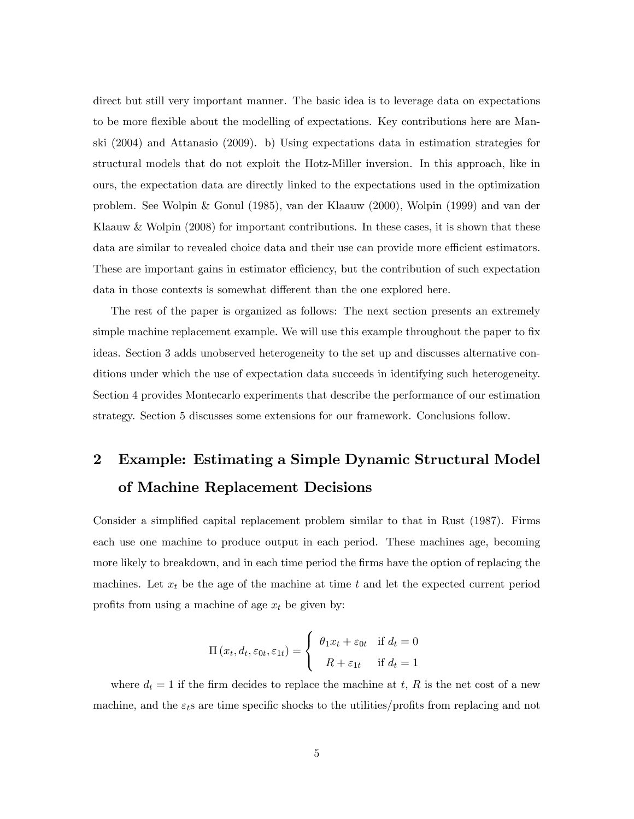direct but still very important manner. The basic idea is to leverage data on expectations to be more flexible about the modelling of expectations. Key contributions here are Manski (2004) and Attanasio (2009). b) Using expectations data in estimation strategies for structural models that do not exploit the Hotz-Miller inversion. In this approach, like in ours, the expectation data are directly linked to the expectations used in the optimization problem. See Wolpin & Gonul (1985), van der Klaauw (2000), Wolpin (1999) and van der Klaauw  $\&$  Wolpin (2008) for important contributions. In these cases, it is shown that these data are similar to revealed choice data and their use can provide more efficient estimators. These are important gains in estimator efficiency, but the contribution of such expectation data in those contexts is somewhat different than the one explored here.

The rest of the paper is organized as follows: The next section presents an extremely simple machine replacement example. We will use this example throughout the paper to fix ideas. Section 3 adds unobserved heterogeneity to the set up and discusses alternative conditions under which the use of expectation data succeeds in identifying such heterogeneity. Section 4 provides Montecarlo experiments that describe the performance of our estimation strategy. Section 5 discusses some extensions for our framework. Conclusions follow.

# 2 Example: Estimating a Simple Dynamic Structural Model of Machine Replacement Decisions

Consider a simplified capital replacement problem similar to that in Rust (1987). Firms each use one machine to produce output in each period. These machines age, becoming more likely to breakdown, and in each time period the firms have the option of replacing the machines. Let  $x_t$  be the age of the machine at time t and let the expected current period profits from using a machine of age  $x_t$  be given by:

$$
\Pi(x_t, d_t, \varepsilon_{0t}, \varepsilon_{1t}) = \begin{cases} \theta_1 x_t + \varepsilon_{0t} & \text{if } d_t = 0 \\ R + \varepsilon_{1t} & \text{if } d_t = 1 \end{cases}
$$

where  $d_t = 1$  if the firm decides to replace the machine at t, R is the net cost of a new machine, and the  $\varepsilon_t$ s are time specific shocks to the utilities/profits from replacing and not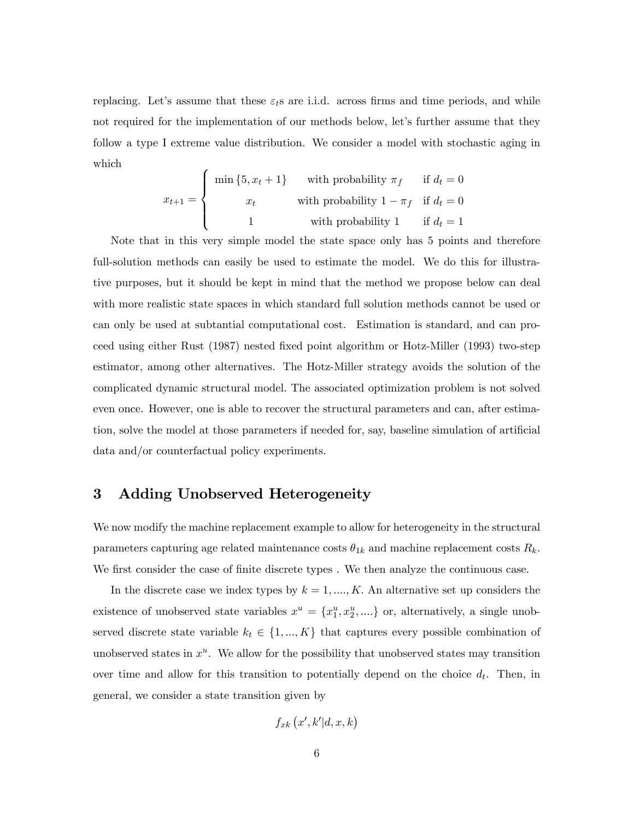replacing. Let's assume that these  $\varepsilon_t$  are i.i.d. across firms and time periods, and while not required for the implementation of our methods below, let's further assume that they follow a type I extreme value distribution. We consider a model with stochastic aging in which

$$
x_{t+1} = \begin{cases} \min\{5, x_t + 1\} & \text{with probability } \pi_f & \text{if } d_t = 0\\ x_t & \text{with probability } 1 - \pi_f & \text{if } d_t = 0\\ 1 & \text{with probability } 1 & \text{if } d_t = 1 \end{cases}
$$

Note that in this very simple model the state space only has 5 points and therefore full-solution methods can easily be used to estimate the model. We do this for illustrative purposes, but it should be kept in mind that the method we propose below can deal with more realistic state spaces in which standard full solution methods cannot be used or can only be used at subtantial computational cost. Estimation is standard, and can proceed using either Rust (1987) nested Öxed point algorithm or Hotz-Miller (1993) two-step estimator, among other alternatives. The Hotz-Miller strategy avoids the solution of the complicated dynamic structural model. The associated optimization problem is not solved even once. However, one is able to recover the structural parameters and can, after estimation, solve the model at those parameters if needed for, say, baseline simulation of artificial data and/or counterfactual policy experiments.

### 3 Adding Unobserved Heterogeneity

We now modify the machine replacement example to allow for heterogeneity in the structural parameters capturing age related maintenance costs  $\theta_{1k}$  and machine replacement costs  $R_k$ . We first consider the case of finite discrete types. We then analyze the continuous case.

In the discrete case we index types by  $k = 1, ..., K$ . An alternative set up considers the existence of unobserved state variables  $x^u = \{x_1^u, x_2^u, ...\}$  or, alternatively, a single unobserved discrete state variable  $k_t \in \{1, ..., K\}$  that captures every possible combination of unobserved states in  $x^u$ . We allow for the possibility that unobserved states may transition over time and allow for this transition to potentially depend on the choice  $d_t$ . Then, in general, we consider a state transition given by

$$
f_{xk}\left(x',k'|d,x,k\right)
$$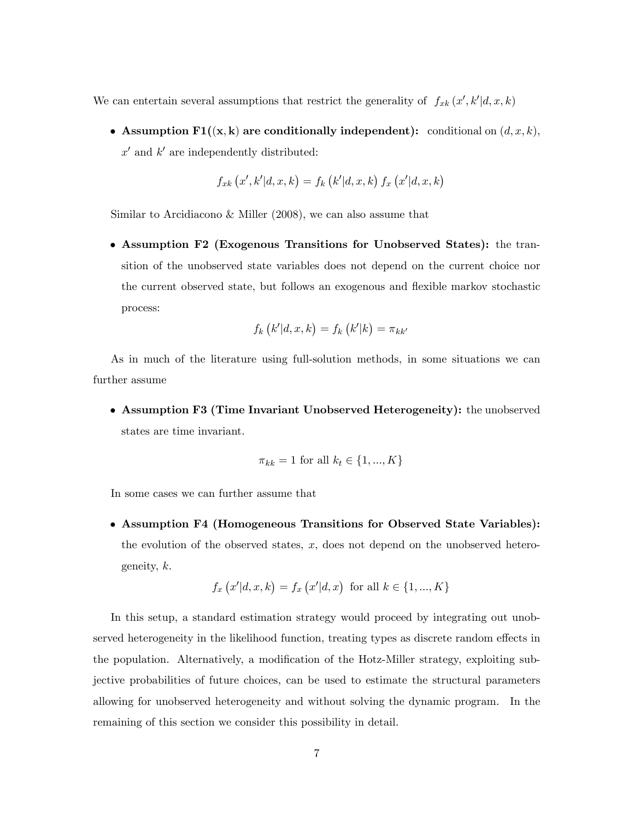We can entertain several assumptions that restrict the generality of  $f_{xk}(x',k'|d,x,k)$ 

• Assumption  $\text{F1}((x, k)$  are conditionally independent): conditional on  $(d, x, k)$ ,  $x'$  and  $k'$  are independently distributed:

$$
f_{xk}\left(x',k'|d,x,k\right) = f_k\left(k'|d,x,k\right) f_x\left(x'|d,x,k\right)
$$

Similar to Arcidiacono & Miller (2008), we can also assume that

 Assumption F2 (Exogenous Transitions for Unobserved States): the transition of the unobserved state variables does not depend on the current choice nor the current observed state, but follows an exogenous and flexible markov stochastic process:

$$
f_k\left(k'|d,x,k\right) = f_k\left(k'|k\right) = \pi_{kk'}
$$

As in much of the literature using full-solution methods, in some situations we can further assume

 Assumption F3 (Time Invariant Unobserved Heterogeneity): the unobserved states are time invariant.

$$
\pi_{kk} = 1 \text{ for all } k_t \in \{1, ..., K\}
$$

In some cases we can further assume that

 Assumption F4 (Homogeneous Transitions for Observed State Variables): the evolution of the observed states,  $x$ , does not depend on the unobserved heterogeneity, k.

$$
f_x(x'|d, x, k) = f_x(x'|d, x)
$$
 for all  $k \in \{1, ..., K\}$ 

In this setup, a standard estimation strategy would proceed by integrating out unobserved heterogeneity in the likelihood function, treating types as discrete random effects in the population. Alternatively, a modification of the Hotz-Miller strategy, exploiting subjective probabilities of future choices, can be used to estimate the structural parameters allowing for unobserved heterogeneity and without solving the dynamic program. In the remaining of this section we consider this possibility in detail.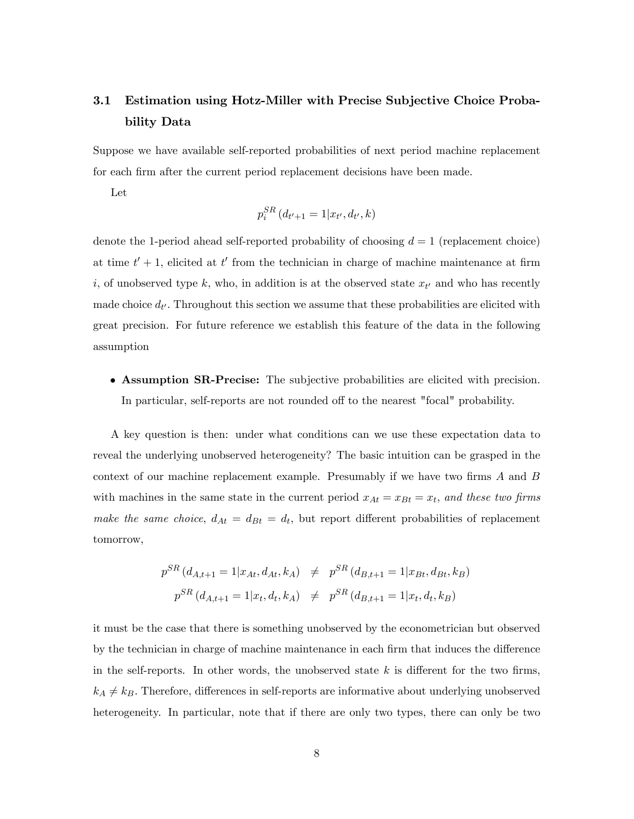# 3.1 Estimation using Hotz-Miller with Precise Subjective Choice Probability Data

Suppose we have available self-reported probabilities of next period machine replacement for each firm after the current period replacement decisions have been made.

Let

$$
p_i^{SR}(d_{t'+1} = 1 | x_{t'}, d_{t'}, k)
$$

denote the 1-period ahead self-reported probability of choosing  $d = 1$  (replacement choice) at time  $t' + 1$ , elicited at  $t'$  from the technician in charge of machine maintenance at firm *i*, of unobserved type *k*, who, in addition is at the observed state  $x_{t'}$  and who has recently made choice  $d_{t'}$ . Throughout this section we assume that these probabilities are elicited with great precision. For future reference we establish this feature of the data in the following assumption

# Assumption SR-Precise: The subjective probabilities are elicited with precision. In particular, self-reports are not rounded off to the nearest "focal" probability.

A key question is then: under what conditions can we use these expectation data to reveal the underlying unobserved heterogeneity? The basic intuition can be grasped in the context of our machine replacement example. Presumably if we have two firms  $A$  and  $B$ with machines in the same state in the current period  $x_{At} = x_{Bt} = x_t$ , and these two firms make the same choice,  $d_{At} = d_{Bt} = d_t$ , but report different probabilities of replacement tomorrow,

$$
p^{SR} (d_{A,t+1} = 1 | x_{At}, d_{At}, k_A) \neq p^{SR} (d_{B,t+1} = 1 | x_{Bt}, d_{Bt}, k_B)
$$
  

$$
p^{SR} (d_{A,t+1} = 1 | x_t, d_t, k_A) \neq p^{SR} (d_{B,t+1} = 1 | x_t, d_t, k_B)
$$

it must be the case that there is something unobserved by the econometrician but observed by the technician in charge of machine maintenance in each firm that induces the difference in the self-reports. In other words, the unobserved state  $k$  is different for the two firms,  $k_A \neq k_B$ . Therefore, differences in self-reports are informative about underlying unobserved heterogeneity. In particular, note that if there are only two types, there can only be two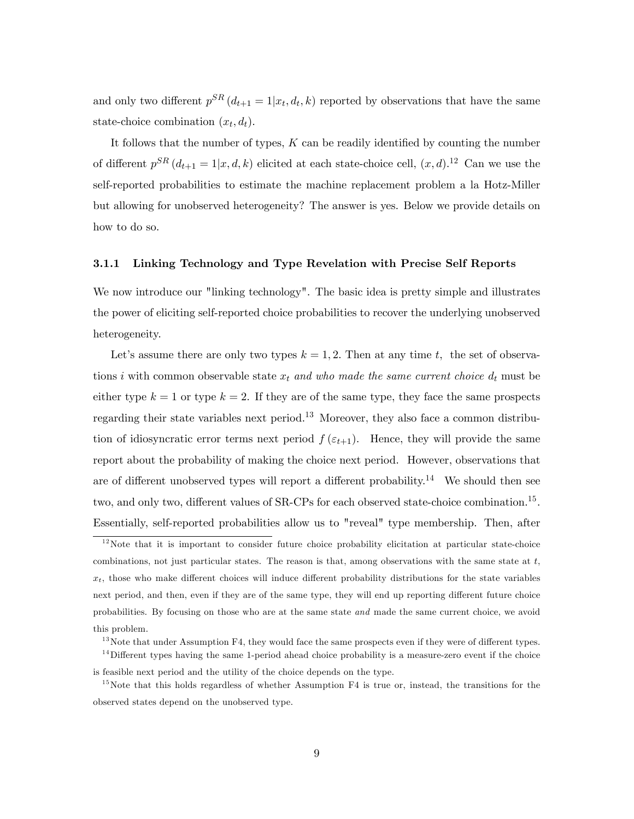and only two different  $p^{SR}(d_{t+1} = 1 | x_t, d_t, k)$  reported by observations that have the same state-choice combination  $(x_t, d_t)$ .

It follows that the number of types,  $K$  can be readily identified by counting the number of different  $p^{SR}(d_{t+1} = 1|x, d, k)$  elicited at each state-choice cell,  $(x, d)$ .<sup>12</sup> Can we use the self-reported probabilities to estimate the machine replacement problem a la Hotz-Miller but allowing for unobserved heterogeneity? The answer is yes. Below we provide details on how to do so.

#### 3.1.1 Linking Technology and Type Revelation with Precise Self Reports

We now introduce our "linking technology". The basic idea is pretty simple and illustrates the power of eliciting self-reported choice probabilities to recover the underlying unobserved heterogeneity.

Let's assume there are only two types  $k = 1, 2$ . Then at any time t, the set of observations i with common observable state  $x_t$  and who made the same current choice  $d_t$  must be either type  $k = 1$  or type  $k = 2$ . If they are of the same type, they face the same prospects regarding their state variables next period.<sup>13</sup> Moreover, they also face a common distribution of idiosyncratic error terms next period  $f(\varepsilon_{t+1})$ . Hence, they will provide the same report about the probability of making the choice next period. However, observations that are of different unobserved types will report a different probability.<sup>14</sup> We should then see two, and only two, different values of SR-CPs for each observed state-choice combination.<sup>15</sup>. Essentially, self-reported probabilities allow us to "reveal" type membership. Then, after

 $12$ Note that it is important to consider future choice probability elicitation at particular state-choice combinations, not just particular states. The reason is that, among observations with the same state at  $t$ ,  $x_t$ , those who make different choices will induce different probability distributions for the state variables next period, and then, even if they are of the same type, they will end up reporting different future choice probabilities. By focusing on those who are at the same state and made the same current choice, we avoid this problem.

 $13$  Note that under Assumption F4, they would face the same prospects even if they were of different types.

 $14$ Different types having the same 1-period ahead choice probability is a measure-zero event if the choice is feasible next period and the utility of the choice depends on the type.

 $15$ Note that this holds regardless of whether Assumption F4 is true or, instead, the transitions for the observed states depend on the unobserved type.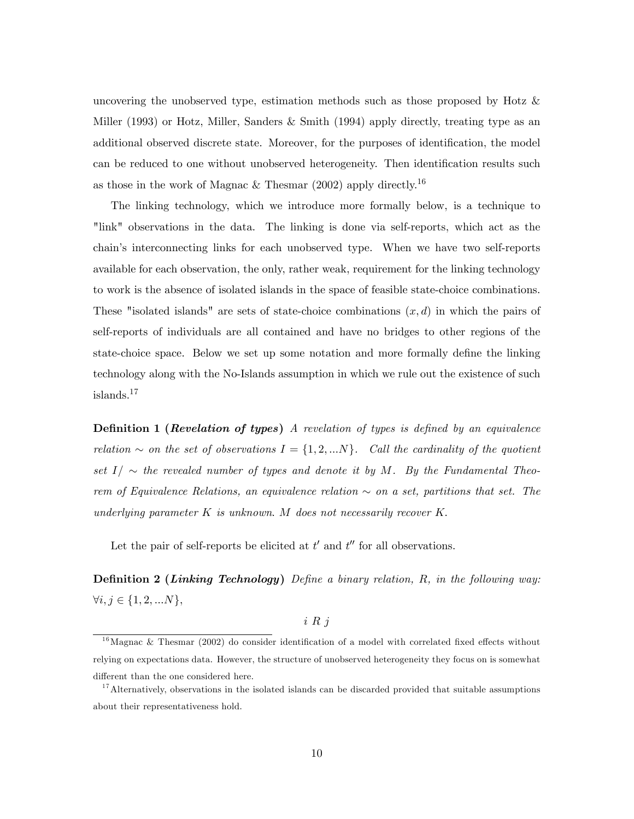uncovering the unobserved type, estimation methods such as those proposed by Hotz & Miller (1993) or Hotz, Miller, Sanders & Smith (1994) apply directly, treating type as an additional observed discrete state. Moreover, for the purposes of identification, the model can be reduced to one without unobserved heterogeneity. Then identification results such as those in the work of Magnac & Thesmar  $(2002)$  apply directly.<sup>16</sup>

The linking technology, which we introduce more formally below, is a technique to "link" observations in the data. The linking is done via self-reports, which act as the chainís interconnecting links for each unobserved type. When we have two self-reports available for each observation, the only, rather weak, requirement for the linking technology to work is the absence of isolated islands in the space of feasible state-choice combinations. These "isolated islands" are sets of state-choice combinations  $(x, d)$  in which the pairs of self-reports of individuals are all contained and have no bridges to other regions of the state-choice space. Below we set up some notation and more formally define the linking technology along with the No-Islands assumption in which we rule out the existence of such islands.<sup>17</sup>

**Definition 1 (Revelation of types)** A revelation of types is defined by an equivalence relation  $\sim$  on the set of observations  $I = \{1, 2, ...N\}$ . Call the cardinality of the quotient set  $I/\sim$  the revealed number of types and denote it by M. By the Fundamental Theorem of Equivalence Relations, an equivalence relation  $\sim$  on a set, partitions that set. The underlying parameter  $K$  is unknown. M does not necessarily recover  $K$ .

Let the pair of self-reports be elicited at  $t'$  and  $t''$  for all observations.

**Definition 2 (Linking Technology)** Define a binary relation,  $R$ , in the following way:  $\forall i, j \in \{1, 2, ...N\},\$ 

### i R j

 $16$ Magnac & Thesmar (2002) do consider identification of a model with correlated fixed effects without relying on expectations data. However, the structure of unobserved heterogeneity they focus on is somewhat different than the one considered here.

<sup>&</sup>lt;sup>17</sup>Alternatively, observations in the isolated islands can be discarded provided that suitable assumptions about their representativeness hold.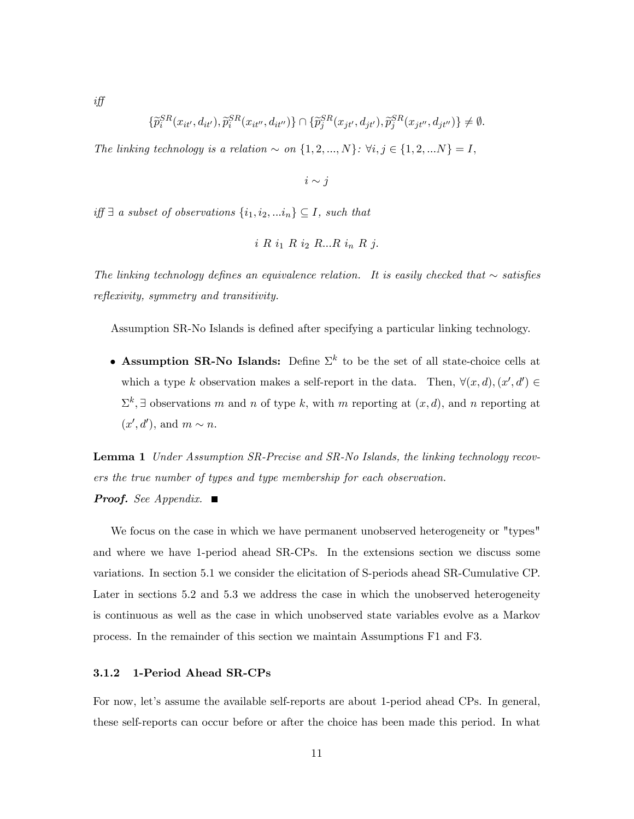$$
\{\widetilde{p}_i^{SR}(x_{it'},d_{it'}),\widetilde{p}_i^{SR}(x_{it''},d_{it''})\} \cap \{\widetilde{p}_j^{SR}(x_{jt'},d_{jt'}),\widetilde{p}_j^{SR}(x_{jt''},d_{jt''})\} \neq \emptyset.
$$

The linking technology is a relation  $\sim$  on  $\{1, 2, ..., N\}$ :  $\forall i, j \in \{1, 2, ...N\} = I$ ,

 $i \sim j$ 

 $iff \exists a subset of observations \{i_1, i_2, ... i_n\} \subseteq I$ , such that

$$
i R i_1 R i_2 R \dots R i_n R j.
$$

The linking technology defines an equivalence relation. It is easily checked that  $\sim$  satisfies reflexivity, symmetry and transitivity.

Assumption SR-No Islands is defined after specifying a particular linking technology.

• Assumption SR-No Islands: Define  $\Sigma^k$  to be the set of all state-choice cells at which a type k observation makes a self-report in the data. Then,  $\forall (x, d), (x', d') \in$  $\Sigma^k$ ,  $\exists$  observations m and n of type k, with m reporting at  $(x, d)$ , and n reporting at  $(x', d')$ , and  $m \sim n$ .

**Lemma 1** Under Assumption SR-Precise and SR-No Islands, the linking technology recovers the true number of types and type membership for each observation. **Proof.** See Appendix.  $\blacksquare$ 

We focus on the case in which we have permanent unobserved heterogeneity or "types" and where we have 1-period ahead SR-CPs. In the extensions section we discuss some variations. In section 5.1 we consider the elicitation of S-periods ahead SR-Cumulative CP. Later in sections 5.2 and 5.3 we address the case in which the unobserved heterogeneity is continuous as well as the case in which unobserved state variables evolve as a Markov process. In the remainder of this section we maintain Assumptions F1 and F3.

### 3.1.2 1-Period Ahead SR-CPs

For now, let's assume the available self-reports are about 1-period ahead CPs. In general, these self-reports can occur before or after the choice has been made this period. In what

i§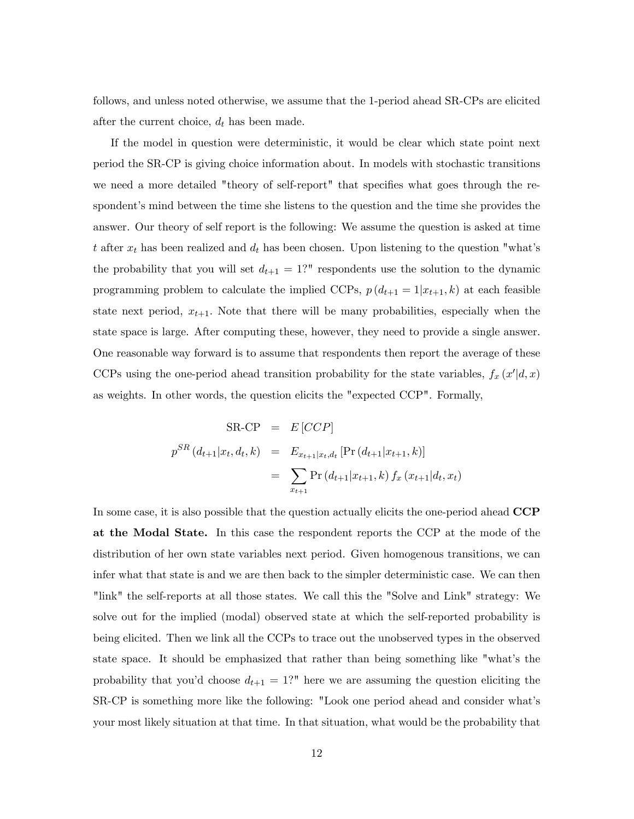follows, and unless noted otherwise, we assume that the 1-period ahead SR-CPs are elicited after the current choice,  $d_t$  has been made.

If the model in question were deterministic, it would be clear which state point next period the SR-CP is giving choice information about. In models with stochastic transitions we need a more detailed "theory of self-report" that specifies what goes through the respondent's mind between the time she listens to the question and the time she provides the answer. Our theory of self report is the following: We assume the question is asked at time t after  $x_t$  has been realized and  $d_t$  has been chosen. Upon listening to the question "what's the probability that you will set  $d_{t+1} = 1$ ?" respondents use the solution to the dynamic programming problem to calculate the implied CCPs,  $p(d_{t+1} = 1|x_{t+1}, k)$  at each feasible state next period,  $x_{t+1}$ . Note that there will be many probabilities, especially when the state space is large. After computing these, however, they need to provide a single answer. One reasonable way forward is to assume that respondents then report the average of these CCPs using the one-period ahead transition probability for the state variables,  $f_x(x'|d, x)$ as weights. In other words, the question elicits the "expected CCP". Formally,

$$
SR-CP = E[CCP]
$$
  
\n
$$
p^{SR}(d_{t+1}|x_t, d_t, k) = E_{x_{t+1}|x_t, d_t}[\Pr(d_{t+1}|x_{t+1}, k)]
$$
  
\n
$$
= \sum_{x_{t+1}} \Pr(d_{t+1}|x_{t+1}, k) f_x(x_{t+1}|d_t, x_t)
$$

In some case, it is also possible that the question actually elicits the one-period ahead CCP at the Modal State. In this case the respondent reports the CCP at the mode of the distribution of her own state variables next period. Given homogenous transitions, we can infer what that state is and we are then back to the simpler deterministic case. We can then "link" the self-reports at all those states. We call this the "Solve and Link" strategy: We solve out for the implied (modal) observed state at which the self-reported probability is being elicited. Then we link all the CCPs to trace out the unobserved types in the observed state space. It should be emphasized that rather than being something like "what's the probability that you'd choose  $d_{t+1} = 1$ ?" here we are assuming the question eliciting the SR-CP is something more like the following: "Look one period ahead and consider whatís your most likely situation at that time. In that situation, what would be the probability that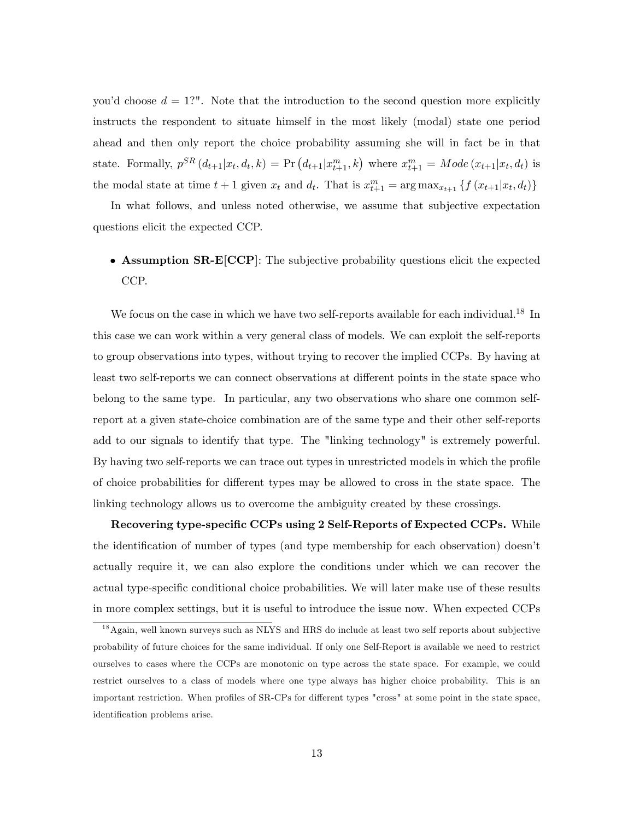you'd choose  $d = 1$ ?". Note that the introduction to the second question more explicitly instructs the respondent to situate himself in the most likely (modal) state one period ahead and then only report the choice probability assuming she will in fact be in that state. Formally,  $p^{SR}(d_{t+1}|x_t, d_t, k) = Pr(d_{t+1}|x_{t+1}^m, k)$  where  $x_{t+1}^m = Mode(x_{t+1}|x_t, d_t)$  is the modal state at time  $t+1$  given  $x_t$  and  $d_t$ . That is  $x_{t+1}^m = \arg \max_{x_{t+1}} \{f(x_{t+1}|x_t, d_t)\}$ 

In what follows, and unless noted otherwise, we assume that subjective expectation questions elicit the expected CCP.

# Assumption SR-E[CCP]: The subjective probability questions elicit the expected CCP.

We focus on the case in which we have two self-reports available for each individual.<sup>18</sup> In this case we can work within a very general class of models. We can exploit the self-reports to group observations into types, without trying to recover the implied CCPs. By having at least two self-reports we can connect observations at different points in the state space who belong to the same type. In particular, any two observations who share one common selfreport at a given state-choice combination are of the same type and their other self-reports add to our signals to identify that type. The "linking technology" is extremely powerful. By having two self-reports we can trace out types in unrestricted models in which the profile of choice probabilities for different types may be allowed to cross in the state space. The linking technology allows us to overcome the ambiguity created by these crossings.

Recovering type-specific CCPs using 2 Self-Reports of Expected CCPs. While the identification of number of types (and type membership for each observation) doesn't actually require it, we can also explore the conditions under which we can recover the actual type-specific conditional choice probabilities. We will later make use of these results in more complex settings, but it is useful to introduce the issue now. When expected CCPs

<sup>&</sup>lt;sup>18</sup> Again, well known surveys such as NLYS and HRS do include at least two self reports about subjective probability of future choices for the same individual. If only one Self-Report is available we need to restrict ourselves to cases where the CCPs are monotonic on type across the state space. For example, we could restrict ourselves to a class of models where one type always has higher choice probability. This is an important restriction. When profiles of SR-CPs for different types "cross" at some point in the state space, identification problems arise.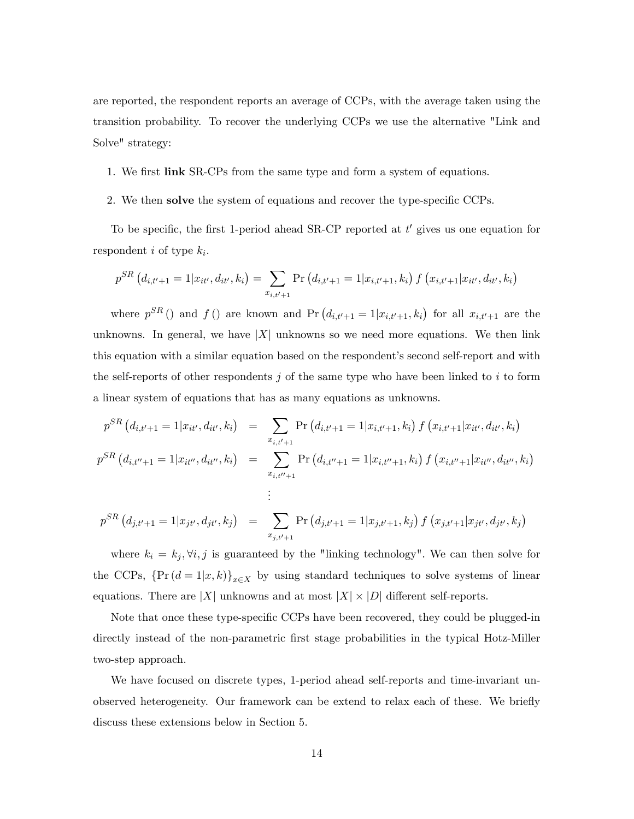are reported, the respondent reports an average of CCPs, with the average taken using the transition probability. To recover the underlying CCPs we use the alternative "Link and Solve" strategy:

#### 1. We first link SR-CPs from the same type and form a system of equations.

#### 2. We then solve the system of equations and recover the type-specific CCPs.

To be specific, the first 1-period ahead SR-CP reported at  $t'$  gives us one equation for respondent *i* of type  $k_i$ .

$$
p^{SR}(d_{i,t'+1} = 1 | x_{it'}, d_{it'}, k_i) = \sum_{x_{i,t'+1}} \Pr (d_{i,t'+1} = 1 | x_{i,t'+1}, k_i) f (x_{i,t'+1} | x_{it'}, d_{it'}, k_i)
$$

where  $p^{SR}$  () and f () are known and Pr  $(d_{i,t'+1} = 1|x_{i,t'+1}, k_i)$  for all  $x_{i,t'+1}$  are the unknowns. In general, we have  $|X|$  unknowns so we need more equations. We then link this equation with a similar equation based on the respondent's second self-report and with the self-reports of other respondents  $j$  of the same type who have been linked to  $i$  to form a linear system of equations that has as many equations as unknowns.

$$
p^{SR} (d_{i,t'+1} = 1 | x_{it'}, d_{it'}, k_i) = \sum_{x_{i,t'+1}} \Pr (d_{i,t'+1} = 1 | x_{i,t'+1}, k_i) f (x_{i,t'+1} | x_{it'}, d_{it'}, k_i)
$$
  

$$
p^{SR} (d_{i,t''+1} = 1 | x_{it''}, d_{it''}, k_i) = \sum_{x_{i,t''+1}} \Pr (d_{i,t''+1} = 1 | x_{i,t''+1}, k_i) f (x_{i,t''+1} | x_{it''}, d_{it''}, k_i)
$$
  
:

$$
p^{SR} (d_{j,t'+1} = 1 | x_{jt'}, d_{jt'}, k_j) = \sum_{x_{j,t'+1}} \Pr (d_{j,t'+1} = 1 | x_{j,t'+1}, k_j) f (x_{j,t'+1} | x_{jt'}, d_{jt'}, k_j)
$$

where  $k_i = k_j, \forall i, j$  is guaranteed by the "linking technology". We can then solve for the CCPs,  $\{\Pr((d=1|x,k)\}_{x\in X}$  by using standard techniques to solve systems of linear equations. There are |X| unknowns and at most  $|X| \times |D|$  different self-reports.

Note that once these type-specific CCPs have been recovered, they could be plugged-in directly instead of the non-parametric Örst stage probabilities in the typical Hotz-Miller two-step approach.

We have focused on discrete types, 1-period ahead self-reports and time-invariant unobserved heterogeneity. Our framework can be extend to relax each of these. We briefly discuss these extensions below in Section 5.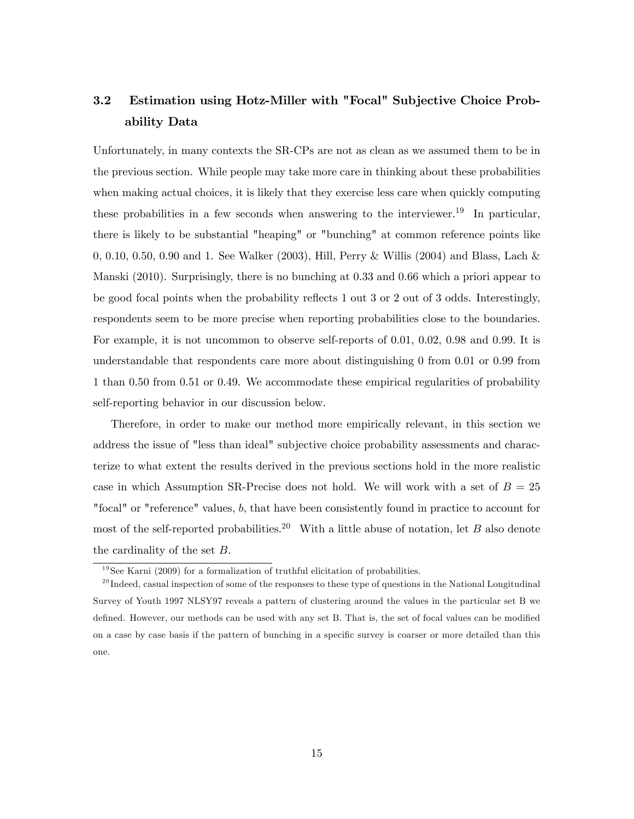# 3.2 Estimation using Hotz-Miller with "Focal" Subjective Choice Probability Data

Unfortunately, in many contexts the SR-CPs are not as clean as we assumed them to be in the previous section. While people may take more care in thinking about these probabilities when making actual choices, it is likely that they exercise less care when quickly computing these probabilities in a few seconds when answering to the interviewer.<sup>19</sup> In particular, there is likely to be substantial "heaping" or "bunching" at common reference points like 0, 0.10, 0.50, 0.90 and 1. See Walker (2003), Hill, Perry & Willis (2004) and Blass, Lach & Manski (2010). Surprisingly, there is no bunching at 0.33 and 0.66 which a priori appear to be good focal points when the probability reflects 1 out 3 or 2 out of 3 odds. Interestingly, respondents seem to be more precise when reporting probabilities close to the boundaries. For example, it is not uncommon to observe self-reports of 0.01, 0.02, 0.98 and 0.99. It is understandable that respondents care more about distinguishing 0 from 0.01 or 0.99 from 1 than 0.50 from 0.51 or 0.49. We accommodate these empirical regularities of probability self-reporting behavior in our discussion below.

Therefore, in order to make our method more empirically relevant, in this section we address the issue of "less than ideal" subjective choice probability assessments and characterize to what extent the results derived in the previous sections hold in the more realistic case in which Assumption SR-Precise does not hold. We will work with a set of  $B = 25$ "focal" or "reference" values, b; that have been consistently found in practice to account for most of the self-reported probabilities.<sup>20</sup> With a little abuse of notation, let B also denote the cardinality of the set  $B$ .

 $19$ See Karni (2009) for a formalization of truthful elicitation of probabilities.

 $^{20}$ Indeed, casual inspection of some of the responses to these type of questions in the National Longitudinal Survey of Youth 1997 NLSY97 reveals a pattern of clustering around the values in the particular set B we defined. However, our methods can be used with any set B. That is, the set of focal values can be modified on a case by case basis if the pattern of bunching in a specific survey is coarser or more detailed than this one.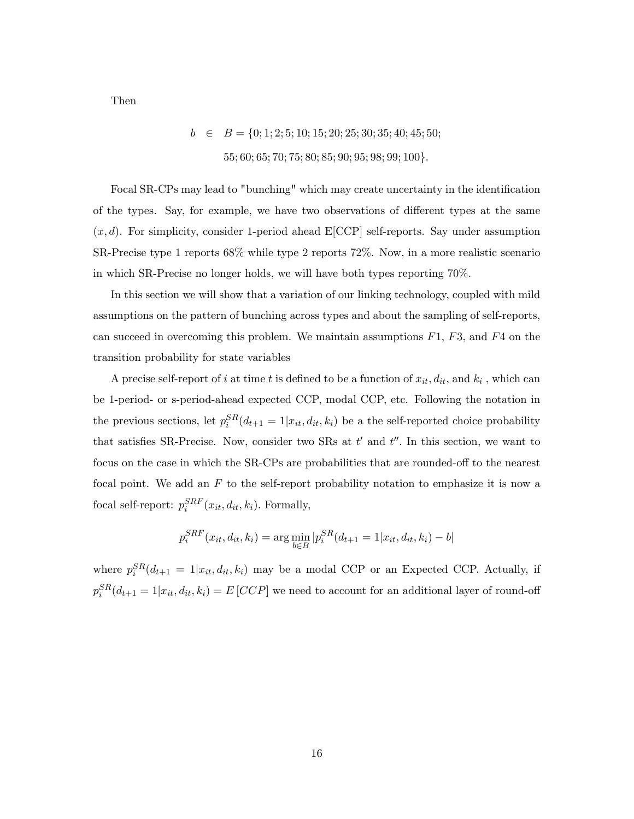Then

 $b \in B = \{0; 1; 2; 5; 10; 15; 20; 25; 30; 35; 40; 45; 50;$ 55; 60; 65; 70; 75; 80; 85; 90; 95; 98; 99; 100}.

Focal SR-CPs may lead to "bunching" which may create uncertainty in the identification of the types. Say, for example, we have two observations of different types at the same  $(x, d)$ . For simplicity, consider 1-period ahead E[CCP] self-reports. Say under assumption SR-Precise type 1 reports 68% while type 2 reports 72%. Now, in a more realistic scenario in which SR-Precise no longer holds, we will have both types reporting 70%.

In this section we will show that a variation of our linking technology, coupled with mild assumptions on the pattern of bunching across types and about the sampling of self-reports, can succeed in overcoming this problem. We maintain assumptions  $F1$ ,  $F3$ , and  $F4$  on the transition probability for state variables

A precise self-report of i at time t is defined to be a function of  $x_{it}$ ,  $d_{it}$ , and  $k_i$ , which can be 1-period- or s-period-ahead expected CCP, modal CCP, etc. Following the notation in the previous sections, let  $p_i^{SR}(d_{t+1} = 1 | x_{it}, d_{it}, k_i)$  be a the self-reported choice probability that satisfies SR-Precise. Now, consider two SRs at  $t'$  and  $t''$ . In this section, we want to focus on the case in which the SR-CPs are probabilities that are rounded-off to the nearest focal point. We add an  $F$  to the self-report probability notation to emphasize it is now a focal self-report:  $p_i^{SRF}(x_{it}, d_{it}, k_i)$ . Formally,

$$
p_i^{SRF}(x_{it}, d_{it}, k_i) = \arg\min_{b \in B} |p_i^{SR}(d_{t+1} = 1 | x_{it}, d_{it}, k_i) - b|
$$

where  $p_i^{SR}(d_{t+1} = 1|x_{it}, d_{it}, k_i)$  may be a modal CCP or an Expected CCP. Actually, if  $p_i^{SR}(d_{t+1} = 1|x_{it}, d_{it}, k_i) = E[CCP]$  we need to account for an additional layer of round-off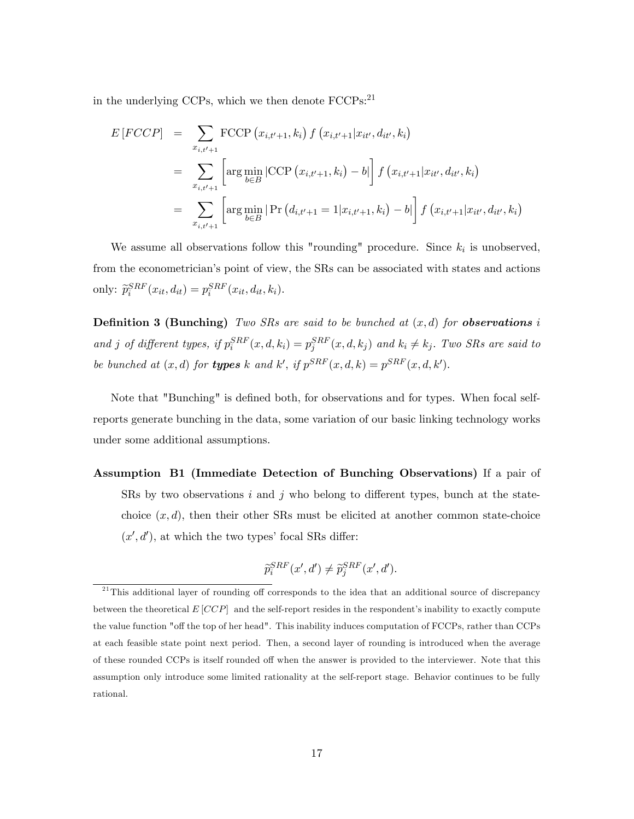in the underlying CCPs, which we then denote FCCPs:<sup>21</sup>

$$
E\left[FCCP\right] = \sum_{x_{i,t'+1}} \text{FCCP}\left(x_{i,t'+1}, k_i\right) f\left(x_{i,t'+1}|x_{it'}, d_{it'}, k_i\right)
$$
  
\n
$$
= \sum_{x_{i,t'+1}} \left[ \arg \min_{b \in B} \left| \text{CCP}\left(x_{i,t'+1}, k_i\right) - b \right| \right] f\left(x_{i,t'+1}|x_{it'}, d_{it'}, k_i\right)
$$
  
\n
$$
= \sum_{x_{i,t'+1}} \left[ \arg \min_{b \in B} \left| \text{Pr}\left(d_{i,t'+1} = 1|x_{i,t'+1}, k_i\right) - b \right| \right] f\left(x_{i,t'+1}|x_{it'}, d_{it'}, k_i\right)
$$

We assume all observations follow this "rounding" procedure. Since  $k_i$  is unobserved, from the econometrician's point of view, the SRs can be associated with states and actions only:  $\widetilde{p}_i^{SRF}(x_{it}, d_{it}) = p_i^{SRF}(x_{it}, d_{it}, k_i).$ 

**Definition 3 (Bunching)** Two SRs are said to be bunched at  $(x, d)$  for **observations** i and j of different types, if  $p_i^{SRF}(x, d, k_i) = p_j^{SRF}(x, d, k_j)$  and  $k_i \neq k_j$ . Two SRs are said to be bunched at  $(x, d)$  for **types** k and k', if  $p^{SRF}(x, d, k) = p^{SRF}(x, d, k')$ .

Note that "Bunching" is defined both, for observations and for types. When focal selfreports generate bunching in the data, some variation of our basic linking technology works under some additional assumptions.

Assumption B1 (Immediate Detection of Bunching Observations) If a pair of SRs by two observations i and j who belong to different types, bunch at the statechoice  $(x, d)$ , then their other SRs must be elicited at another common state-choice  $(x', d')$ , at which the two types' focal SRs differ:

$$
\widetilde{p}_{i}^{SRF}(x',d') \neq \widetilde{p}_{j}^{SRF}(x',d').
$$

 $21$ This additional layer of rounding off corresponds to the idea that an additional source of discrepancy between the theoretical  $E[CCP]$  and the self-report resides in the respondent's inability to exactly compute the value function "off the top of her head". This inability induces computation of FCCPs, rather than CCPs at each feasible state point next period. Then, a second layer of rounding is introduced when the average of these rounded CCPs is itself rounded off when the answer is provided to the interviewer. Note that this assumption only introduce some limited rationality at the self-report stage. Behavior continues to be fully rational.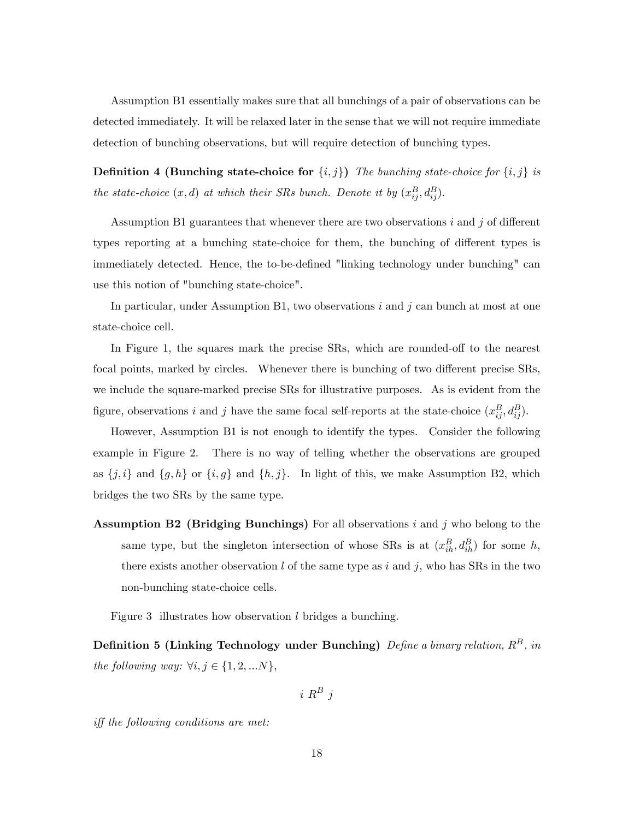Assumption B1 essentially makes sure that all bunchings of a pair of observations can be detected immediately. It will be relaxed later in the sense that we will not require immediate detection of bunching observations, but will require detection of bunching types.

**Definition 4 (Bunching state-choice for**  $\{i, j\}$ ) The bunching state-choice for  $\{i, j\}$  is the state-choice  $(x, d)$  at which their SRs bunch. Denote it by  $(x_{ij}^B, d_{ij}^B)$ .

Assumption B1 guarantees that whenever there are two observations  $i$  and  $j$  of different types reporting at a bunching state-choice for them, the bunching of different types is immediately detected. Hence, the to-be-defined "linking technology under bunching" can use this notion of "bunching state-choice".

In particular, under Assumption B1, two observations  $i$  and  $j$  can bunch at most at one state-choice cell.

In Figure 1, the squares mark the precise SRs, which are rounded-off to the nearest focal points, marked by circles. Whenever there is bunching of two different precise SRs, we include the square-marked precise SRs for illustrative purposes. As is evident from the figure, observations i and j have the same focal self-reports at the state-choice  $(x_{ij}^B, d_{ij}^B)$ .

However, Assumption B1 is not enough to identify the types. Consider the following example in Figure 2. There is no way of telling whether the observations are grouped as  $\{j, i\}$  and  $\{g, h\}$  or  $\{i, g\}$  and  $\{h, j\}$ . In light of this, we make Assumption B2, which bridges the two SRs by the same type.

**Assumption B2 (Bridging Bunchings)** For all observations i and j who belong to the same type, but the singleton intersection of whose SRs is at  $(x_{ih}^B, d_{ih}^B)$  for some h, there exists another observation l of the same type as i and j, who has SRs in the two non-bunching state-choice cells.

Figure 3 illustrates how observation l bridges a bunching.

Definition 5 (Linking Technology under Bunching)  $Define$  a binary relation,  $R^B$ , in the following way:  $\forall i, j \in \{1, 2, ...N\},\$ 

$$
i\; R^B\; j
$$

 $iff the following conditions are met:\n\n $\begin{bmatrix}\n\text{if } x \\
\text{if } x\n\end{bmatrix}$$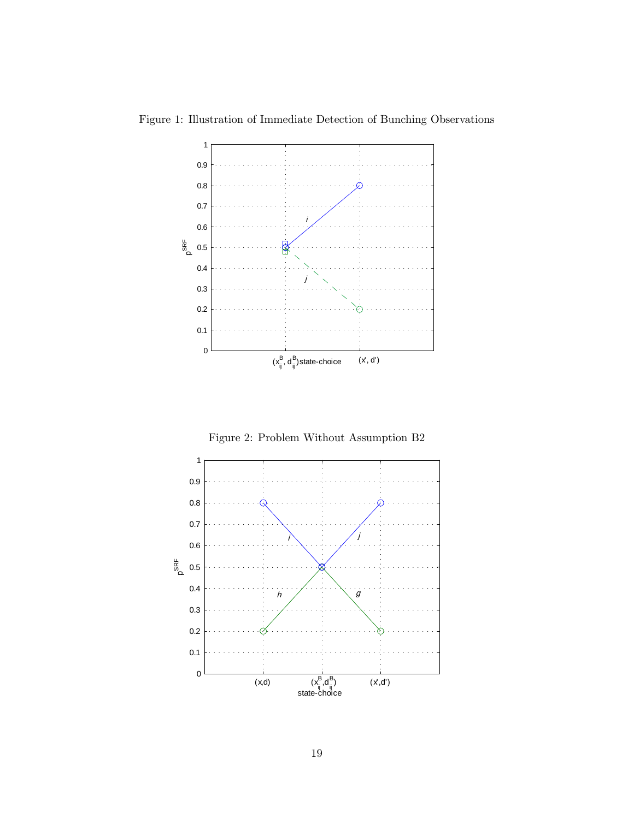

Figure 1: Illustration of Immediate Detection of Bunching Observations

Figure 2: Problem Without Assumption B2

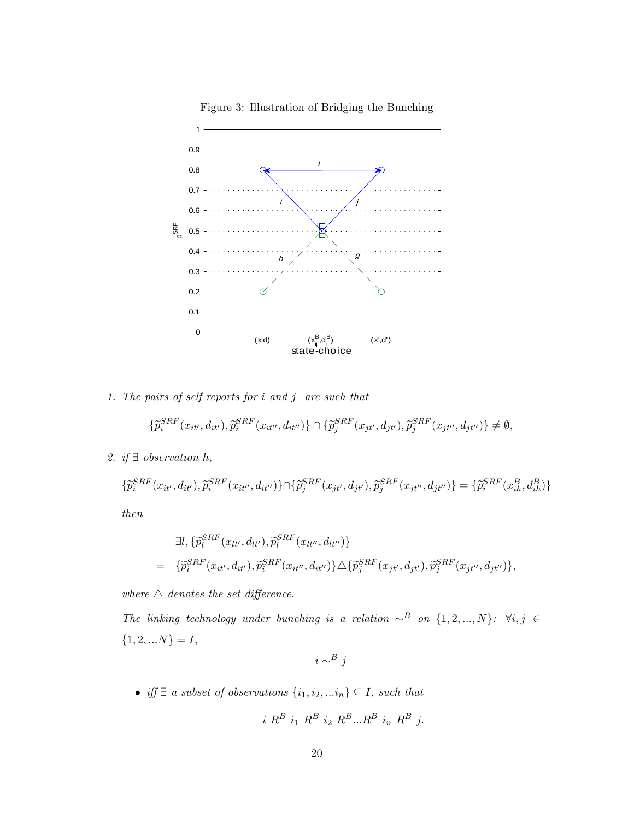

Figure 3: Illustration of Bridging the Bunching

1. The pairs of self reports for  $i$  and  $j$  are such that

$$
\{\widetilde{p}_i^{SRF}(x_{it'},d_{it'}),\widetilde{p}_i^{SRF}(x_{it''},d_{it''})\} \cap \{\widetilde{p}_j^{SRF}(x_{jt'},d_{jt'}),\widetilde{p}_j^{SRF}(x_{jt''},d_{jt''})\} \neq \emptyset,
$$

2. if  $\exists$  observation h,

$$
\{\tilde{p}_{i}^{SRF}(x_{it'}, d_{it'}), \tilde{p}_{i}^{SRF}(x_{it''}, d_{it''})\} \cap \{\tilde{p}_{j}^{SRF}(x_{jt'}, d_{jt'}), \tilde{p}_{j}^{SRF}(x_{jt''}, d_{jt''})\} = \{\tilde{p}_{i}^{SRF}(x_{ih}^{B}, d_{ih}^{B})\}
$$

then

$$
\exists l, \{\widetilde{p}_{l}^{SRF}(x_{lt'}, d_{lt'}), \widetilde{p}_{l}^{SRF}(x_{lt''}, d_{lt''})\} \n= \{\widetilde{p}_{i}^{SRF}(x_{it'}, d_{it'}), \widetilde{p}_{i}^{SRF}(x_{it''}, d_{it''})\} \triangle \{\widetilde{p}_{j}^{SRF}(x_{jt'}, d_{jt'}), \widetilde{p}_{j}^{SRF}(x_{jt''}, d_{jt''})\},
$$

where  $\triangle$  denotes the set difference.

The linking technology under bunching is a relation  $\sim^B$  on  $\{1, 2, ..., N\}$ :  $\forall i, j \in$  $\{1,2,...N\}=I,$ 

$$
i \sim^B j
$$

 $\bullet$  iff  $\exists$  a subset of observations  $\{i_1,i_2,...i_n\}\subseteq I$ , such that

$$
i R^B i_1 R^B i_2 R^B ... R^B i_n R^B j.
$$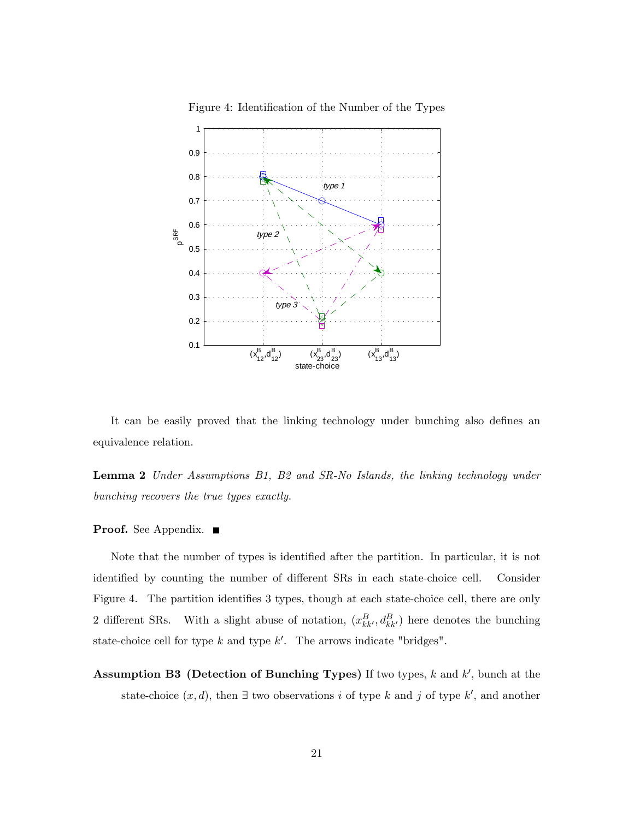

Figure 4: Identification of the Number of the Types

It can be easily proved that the linking technology under bunching also defines an equivalence relation.

Lemma 2 Under Assumptions B1, B2 and SR-No Islands, the linking technology under bunching recovers the true types exactly.

#### **Proof.** See Appendix. ■

Note that the number of types is identified after the partition. In particular, it is not identified by counting the number of different SRs in each state-choice cell. Consider Figure 4. The partition identifies 3 types, though at each state-choice cell, there are only 2 different SRs. With a slight abuse of notation,  $(x_{kk}^B, d_{kk'}^B)$  here denotes the bunching state-choice cell for type  $k$  and type  $k'$ . The arrows indicate "bridges".

Assumption B3 (Detection of Bunching Types) If two types,  $k$  and  $k'$ , bunch at the state-choice  $(x, d)$ , then  $\exists$  two observations i of type k and j of type k', and another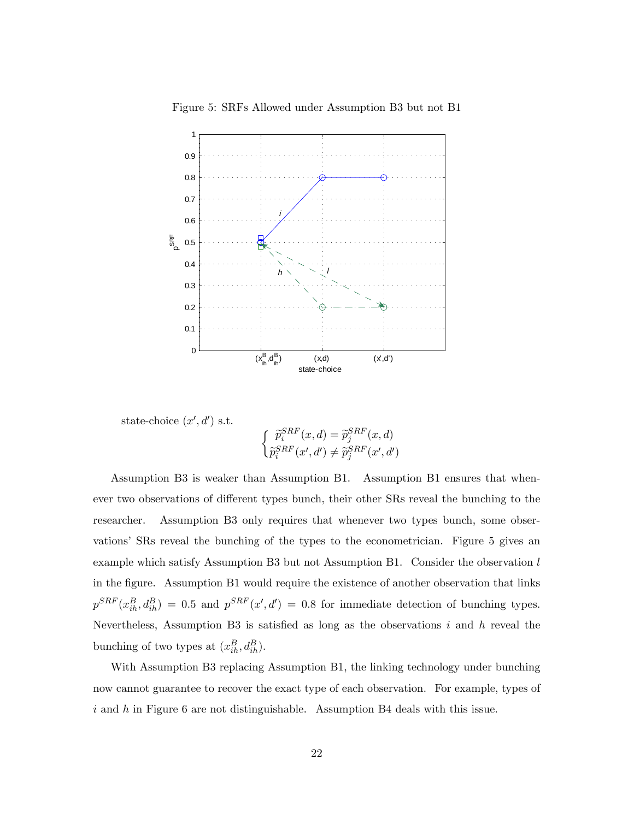

Figure 5: SRFs Allowed under Assumption B3 but not B1

state-choice  $(x', d')$  s.t.

$$
\begin{cases} \tilde{p}_i^{SRF}(x,d) = \tilde{p}_j^{SRF}(x,d) \\ \tilde{p}_i^{SRF}(x',d') \neq \tilde{p}_j^{SRF}(x',d') \end{cases}
$$

Assumption B3 is weaker than Assumption B1. Assumption B1 ensures that whenever two observations of different types bunch, their other SRs reveal the bunching to the researcher. Assumption B3 only requires that whenever two types bunch, some observations' SRs reveal the bunching of the types to the econometrician. Figure 5 gives an example which satisfy Assumption B3 but not Assumption B1. Consider the observation  $l$ in the figure. Assumption B1 would require the existence of another observation that links  $p^{SRF}(x_{ih}^B, d_{ih}^B) = 0.5$  and  $p^{SRF}(x', d') = 0.8$  for immediate detection of bunching types. Nevertheless, Assumption B3 is satisfied as long as the observations  $i$  and  $h$  reveal the bunching of two types at  $(x_{ih}^B, d_{ih}^B)$ .

With Assumption B3 replacing Assumption B1, the linking technology under bunching now cannot guarantee to recover the exact type of each observation. For example, types of i and h in Figure 6 are not distinguishable. Assumption B4 deals with this issue.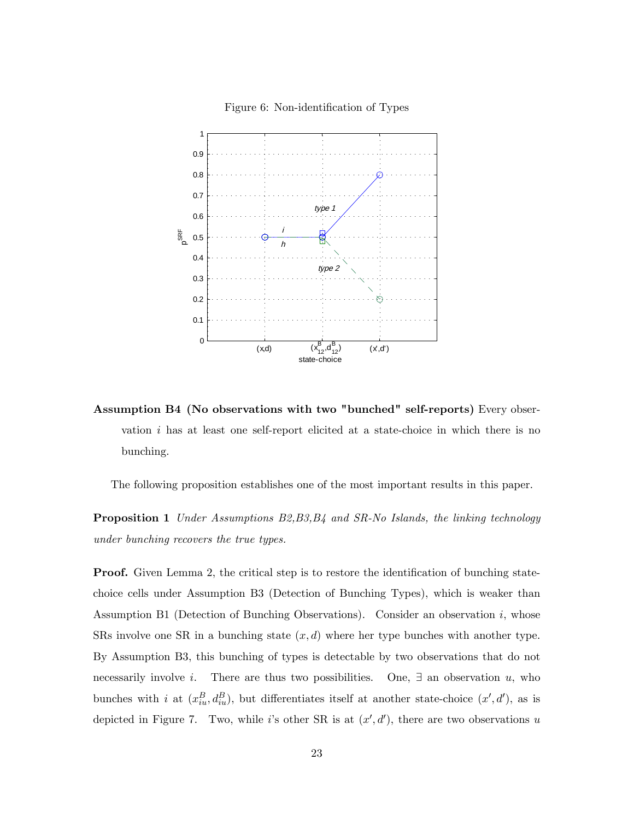



Assumption B4 (No observations with two "bunched" self-reports) Every observation  $i$  has at least one self-report elicited at a state-choice in which there is no bunching.

The following proposition establishes one of the most important results in this paper.

**Proposition 1** Under Assumptions B2, B3, B4 and SR-No Islands, the linking technology under bunching recovers the true types.

**Proof.** Given Lemma 2, the critical step is to restore the identification of bunching statechoice cells under Assumption B3 (Detection of Bunching Types), which is weaker than Assumption B1 (Detection of Bunching Observations). Consider an observation  $i$ , whose SRs involve one SR in a bunching state  $(x, d)$  where her type bunches with another type. By Assumption B3, this bunching of types is detectable by two observations that do not necessarily involve i. There are thus two possibilities. One,  $\exists$  an observation u, who bunches with i at  $(x_{iu}^B, d_{iu}^B)$ , but differentiates itself at another state-choice  $(x', d')$ , as is depicted in Figure 7. Two, while i's other SR is at  $(x', d')$ , there are two observations u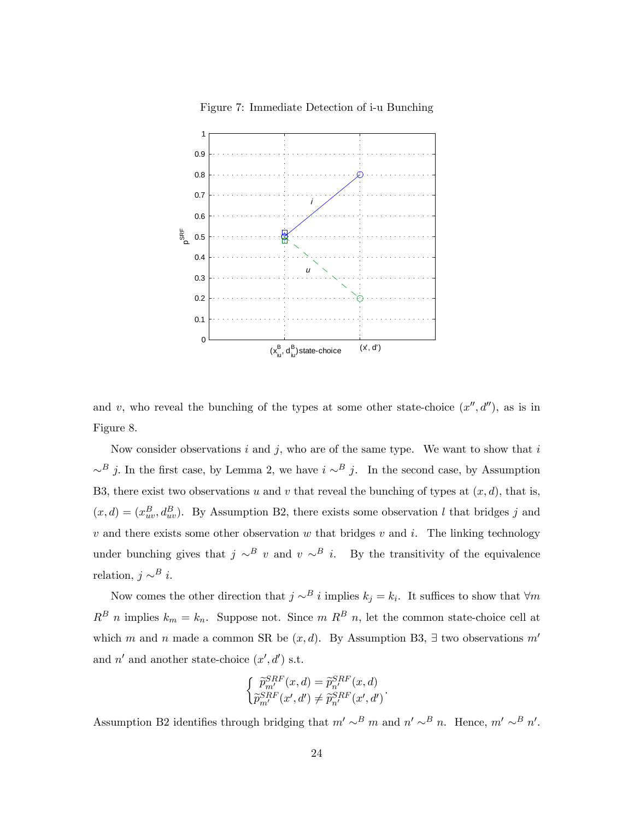

Figure 7: Immediate Detection of i-u Bunching

and v, who reveal the bunching of the types at some other state-choice  $(x'', d'')$ , as is in Figure 8.

Now consider observations  $i$  and  $j$ , who are of the same type. We want to show that  $i$  $\sim^B j$ . In the first case, by Lemma 2, we have  $i \sim^B j$ . In the second case, by Assumption B3, there exist two observations u and v that reveal the bunching of types at  $(x, d)$ , that is,  $(x, d) = (x_{uv}^B, d_{uv}^B)$ . By Assumption B2, there exists some observation l that bridges j and v and there exists some other observation w that bridges v and i. The linking technology under bunching gives that  $j \sim^B v$  and  $v \sim^B i$ . By the transitivity of the equivalence relation,  $j \sim^B i$ .

Now comes the other direction that  $j \sim^B i$  implies  $k_j = k_i$ . It suffices to show that  $\forall m$  $R^B$  n implies  $k_m = k_n$ . Suppose not. Since m  $R^B$  n, let the common state-choice cell at which m and n made a common SR be  $(x, d)$ . By Assumption B3,  $\exists$  two observations m' and  $n'$  and another state-choice  $(x', d')$  s.t.

$$
\begin{cases}\n\widetilde{p}_{m'}^{SRF}(x,d) = \widetilde{p}_{n'}^{SRF}(x,d) \\
\widetilde{p}_{m'}^{SRF}(x',d') \neq \widetilde{p}_{n'}^{SRF}(x',d')\n\end{cases}.
$$

Assumption B2 identifies through bridging that  $m' \sim^B m$  and  $n' \sim^B n$ . Hence,  $m' \sim^B n'$ .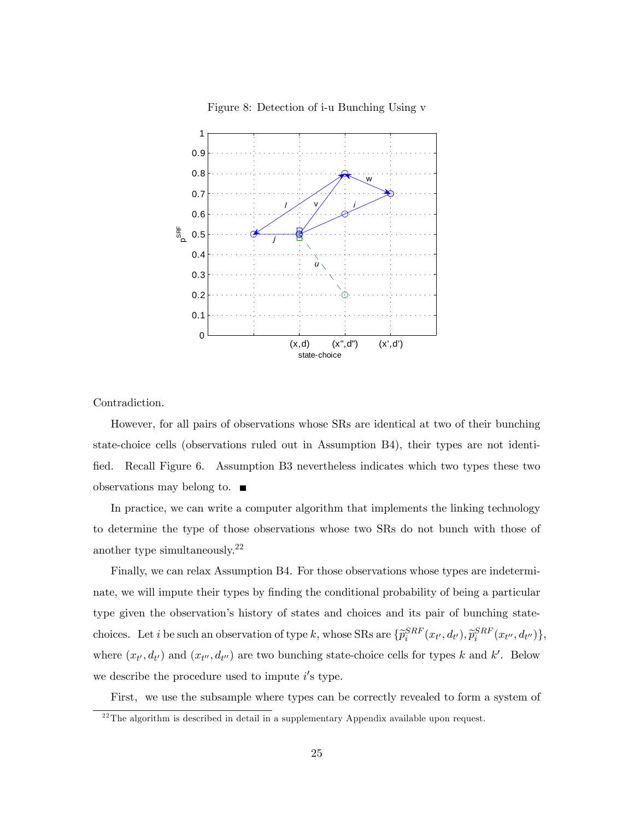

Figure 8: Detection of i-u Bunching Using v

Contradiction.

However, for all pairs of observations whose SRs are identical at two of their bunching state-choice cells (observations ruled out in Assumption B4), their types are not identified. Recall Figure 6. Assumption B3 nevertheless indicates which two types these two observations may belong to.

In practice, we can write a computer algorithm that implements the linking technology to determine the type of those observations whose two SRs do not bunch with those of another type simultaneously.<sup>22</sup>

Finally, we can relax Assumption B4. For those observations whose types are indeterminate, we will impute their types by finding the conditional probability of being a particular type given the observation's history of states and choices and its pair of bunching statechoices. Let *i* be such an observation of type k, whose SRs are  $\{\tilde{p}_i^{SRF}(x_{t'}, d_{t'}), \tilde{p}_i^{SRF}(x_{t''}, d_{t''})\},\$ where  $(x_{t}, d_{t})$  and  $(x_{t}, d_{t})$  are two bunching state-choice cells for types k and k'. Below we describe the procedure used to impute  $i$ 's type.

First, we use the subsample where types can be correctly revealed to form a system of

 $^{22}\mathrm{The}$  algorithm is described in detail in a supplementary Appendix available upon request.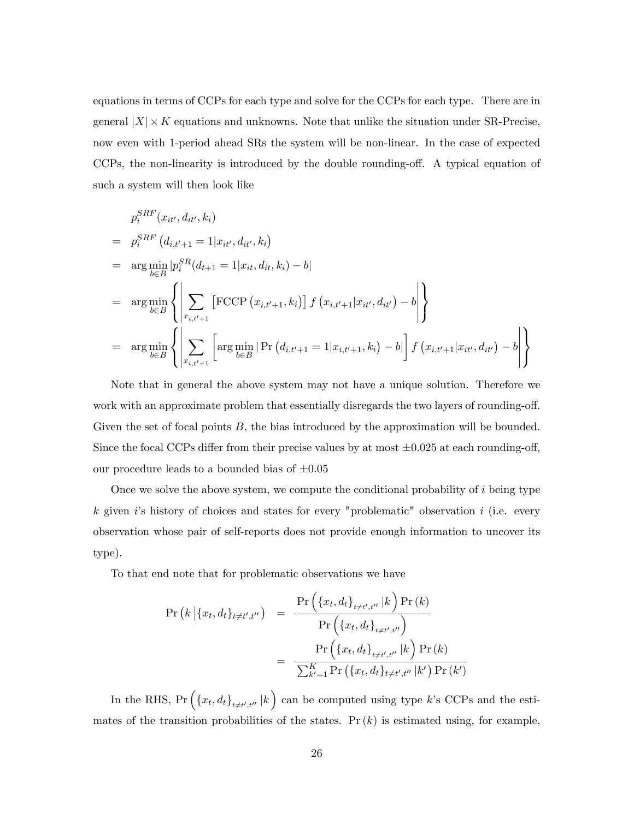equations in terms of CCPs for each type and solve for the CCPs for each type. There are in general  $|X| \times K$  equations and unknowns. Note that unlike the situation under SR-Precise, now even with 1-period ahead SRs the system will be non-linear. In the case of expected CCPs, the non-linearity is introduced by the double rounding-off. A typical equation of such a system will then look like

$$
p_i^{SRF}(x_{it'}, d_{it'}, k_i)
$$
  
\n=  $p_i^{SRF}(d_{i,t'+1} = 1 | x_{it'}, d_{it'}, k_i)$   
\n=  $\arg \min_{b \in B} |p_i^{SR}(d_{t+1} = 1 | x_{it}, d_{it}, k_i) - b|$   
\n=  $\arg \min_{b \in B} \left\{ \left| \sum_{x_{i,t'+1}} \left[ \text{FCCP}(x_{i,t'+1}, k_i) \right] f(x_{i,t'+1} | x_{it'}, d_{it'}) - b \right| \right\}$   
\n=  $\arg \min_{b \in B} \left\{ \left| \sum_{x_{i,t'+1}} \left[ \arg \min_{b \in B} | \Pr(d_{i,t'+1} = 1 | x_{i,t'+1}, k_i) - b| \right] f(x_{i,t'+1} | x_{it'}, d_{it'}) - b \right| \right\}$ 

Note that in general the above system may not have a unique solution. Therefore we work with an approximate problem that essentially disregards the two layers of rounding-off. Given the set of focal points  $B$ , the bias introduced by the approximation will be bounded. Since the focal CCPs differ from their precise values by at most  $\pm 0.025$  at each rounding-off, our procedure leads to a bounded bias of  $\pm 0.05$ 

Once we solve the above system, we compute the conditional probability of  $i$  being type  $k$  given is history of choices and states for every "problematic" observation i (i.e. every observation whose pair of self-reports does not provide enough information to uncover its type).

To that end note that for problematic observations we have

$$
\Pr(k | \{x_t, d_t\}_{t \neq t', t''}) = \frac{\Pr(\{x_t, d_t\}_{t \neq t', t''} | k) \Pr(k)}{\Pr(\{x_t, d_t\}_{t \neq t', t''})} \n= \frac{\Pr(\{x_t, d_t\}_{t \neq t', t''} | k) \Pr(k)}{\sum_{k'=1}^{K} \Pr(\{x_t, d_t\}_{t \neq t', t''} | k') \Pr(k')}
$$

In the RHS,  $Pr\left(\left\{x_t, d_t\right\}_{t \neq t', t''} | k\right)$  can be computed using type k's CCPs and the estimates of the transition probabilities of the states.  $Pr(k)$  is estimated using, for example,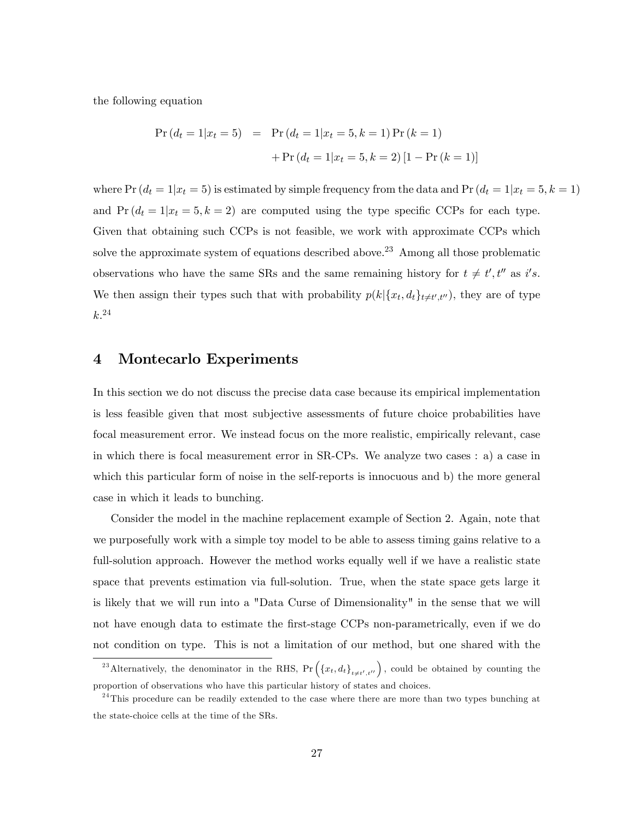the following equation

$$
Pr(d_t = 1|x_t = 5) = Pr(d_t = 1|x_t = 5, k = 1) Pr(k = 1)
$$

$$
+ Pr(d_t = 1|x_t = 5, k = 2) [1 - Pr(k = 1)]
$$

where  $Pr(d_t = 1|x_t = 5)$  is estimated by simple frequency from the data and  $Pr(d_t = 1|x_t = 5, k = 1)$ and  $Pr(d_t = 1|x_t = 5, k = 2)$  are computed using the type specific CCPs for each type. Given that obtaining such CCPs is not feasible, we work with approximate CCPs which solve the approximate system of equations described above.<sup>23</sup> Among all those problematic observations who have the same SRs and the same remaining history for  $t \neq t'$ ,  $t''$  as i's. We then assign their types such that with probability  $p(k|\{x_t, d_t\}_{t \neq t', t''})$ , they are of type  $k^{.24}$ 

### 4 Montecarlo Experiments

In this section we do not discuss the precise data case because its empirical implementation is less feasible given that most subjective assessments of future choice probabilities have focal measurement error. We instead focus on the more realistic, empirically relevant, case in which there is focal measurement error in SR-CPs. We analyze two cases : a) a case in which this particular form of noise in the self-reports is innocuous and b) the more general case in which it leads to bunching.

Consider the model in the machine replacement example of Section 2. Again, note that we purposefully work with a simple toy model to be able to assess timing gains relative to a full-solution approach. However the method works equally well if we have a realistic state space that prevents estimation via full-solution. True, when the state space gets large it is likely that we will run into a "Data Curse of Dimensionality" in the sense that we will not have enough data to estimate the first-stage CCPs non-parametrically, even if we do not condition on type. This is not a limitation of our method, but one shared with the

<sup>&</sup>lt;sup>23</sup> Alternatively, the denominator in the RHS,  $Pr(\lbrace x_t, d_t \rbrace_{t \neq t', t''})$ , could be obtained by counting the proportion of observations who have this particular history of states and choices.

 $24$ This procedure can be readily extended to the case where there are more than two types bunching at the state-choice cells at the time of the SRs.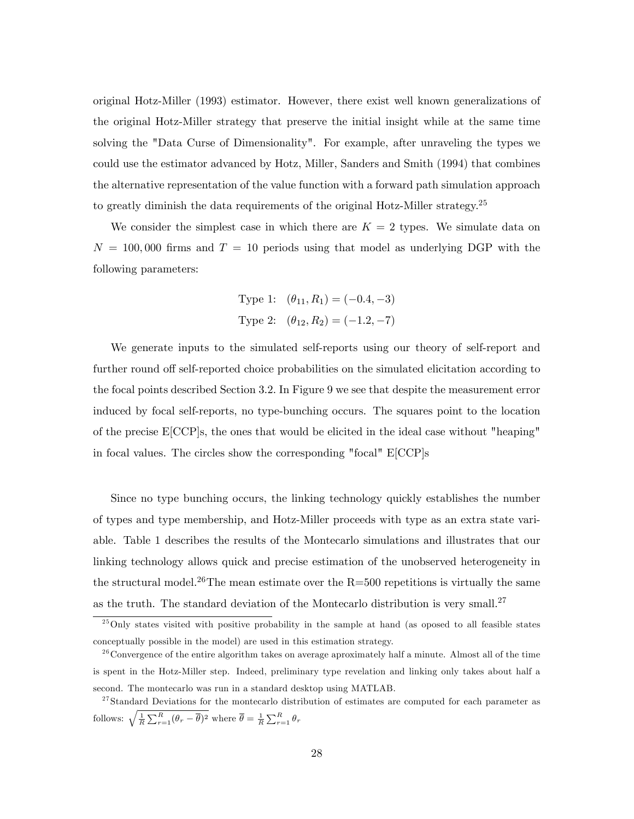original Hotz-Miller (1993) estimator. However, there exist well known generalizations of the original Hotz-Miller strategy that preserve the initial insight while at the same time solving the "Data Curse of Dimensionality". For example, after unraveling the types we could use the estimator advanced by Hotz, Miller, Sanders and Smith (1994) that combines the alternative representation of the value function with a forward path simulation approach to greatly diminish the data requirements of the original Hotz-Miller strategy.<sup>25</sup>

We consider the simplest case in which there are  $K = 2$  types. We simulate data on  $N = 100,000$  firms and  $T = 10$  periods using that model as underlying DGP with the following parameters:

Type 1: 
$$
(\theta_{11}, R_1) = (-0.4, -3)
$$
  
Type 2:  $(\theta_{12}, R_2) = (-1.2, -7)$ 

We generate inputs to the simulated self-reports using our theory of self-report and further round off self-reported choice probabilities on the simulated elicitation according to the focal points described Section 3:2: In Figure 9 we see that despite the measurement error induced by focal self-reports, no type-bunching occurs. The squares point to the location of the precise E[CCP]s, the ones that would be elicited in the ideal case without "heaping" in focal values. The circles show the corresponding "focal" E[CCP]s

Since no type bunching occurs, the linking technology quickly establishes the number of types and type membership, and Hotz-Miller proceeds with type as an extra state variable. Table 1 describes the results of the Montecarlo simulations and illustrates that our linking technology allows quick and precise estimation of the unobserved heterogeneity in the structural model.<sup>26</sup>The mean estimate over the  $R=500$  repetitions is virtually the same as the truth. The standard deviation of the Montecarlo distribution is very small.<sup>27</sup>

 $^{25}$ Only states visited with positive probability in the sample at hand (as oposed to all feasible states conceptually possible in the model) are used in this estimation strategy.

 $2<sup>26</sup>$  Convergence of the entire algorithm takes on average aproximately half a minute. Almost all of the time is spent in the Hotz-Miller step. Indeed, preliminary type revelation and linking only takes about half a second. The montecarlo was run in a standard desktop using MATLAB.

<sup>&</sup>lt;sup>27</sup>Standard Deviations for the montecarlo distribution of estimates are computed for each parameter as follows:  $\sqrt{\frac{1}{R} \sum_{r=1}^{R} (\theta_r - \overline{\theta})^2}$  where  $\overline{\theta} = \frac{1}{R} \sum_{r=1}^{R} \theta_r$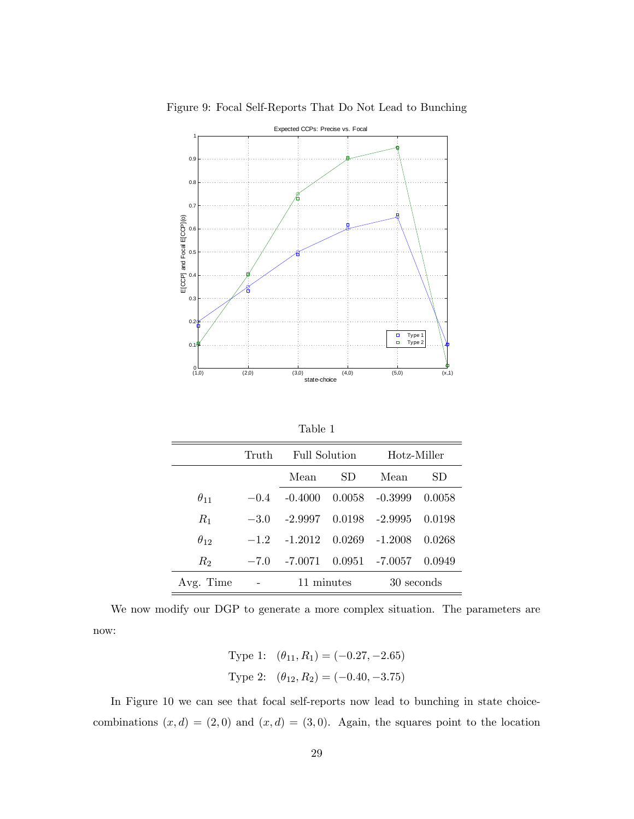

Figure 9: Focal Self-Reports That Do Not Lead to Bunching

|--|

|               | Truth  | Full Solution                |     | Hotz-Miller       |        |  |
|---------------|--------|------------------------------|-----|-------------------|--------|--|
|               |        | Mean                         | SD. | Mean              | SD.    |  |
| $\theta_{11}$ | $-0.4$ | $-0.4000$                    |     | $0.0058 - 0.3999$ | 0.0058 |  |
| $R_1$         | $-3.0$ | $-2.9997$ 0.0198 $-2.9995$   |     |                   | 0.0198 |  |
| $\theta_{12}$ | $-12$  | $-1.2012$ $0.0269$ $-1.2008$ |     |                   | 0.0268 |  |
| $R_2$         | $-7.0$ |                              |     |                   | 0.0949 |  |
| Avg. Time     |        | 11 minutes                   |     | 30 seconds        |        |  |

We now modify our DGP to generate a more complex situation. The parameters are now:

Type 1: 
$$
(\theta_{11}, R_1) = (-0.27, -2.65)
$$
  
Type 2:  $(\theta_{12}, R_2) = (-0.40, -3.75)$ 

In Figure 10 we can see that focal self-reports now lead to bunching in state choicecombinations  $(x, d) = (2, 0)$  and  $(x, d) = (3, 0)$ . Again, the squares point to the location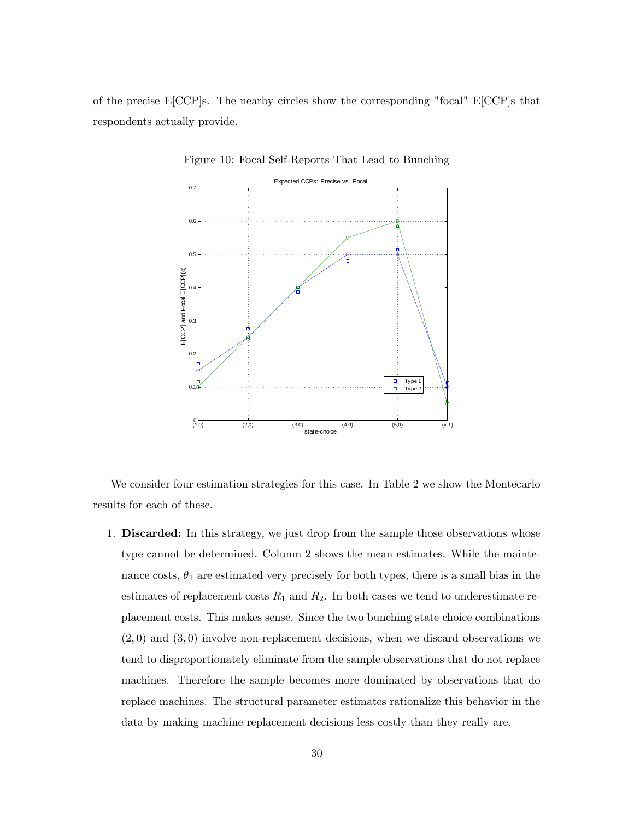of the precise E[CCP]s. The nearby circles show the corresponding "focal" E[CCP]s that respondents actually provide.



Figure 10: Focal Self-Reports That Lead to Bunching

We consider four estimation strategies for this case. In Table 2 we show the Montecarlo results for each of these.

1. **Discarded:** In this strategy, we just drop from the sample those observations whose type cannot be determined. Column 2 shows the mean estimates. While the maintenance costs,  $\theta_1$  are estimated very precisely for both types, there is a small bias in the estimates of replacement costs  $R_1$  and  $R_2$ . In both cases we tend to underestimate replacement costs. This makes sense. Since the two bunching state choice combinations  $(2,0)$  and  $(3,0)$  involve non-replacement decisions, when we discard observations we tend to disproportionately eliminate from the sample observations that do not replace machines. Therefore the sample becomes more dominated by observations that do replace machines. The structural parameter estimates rationalize this behavior in the data by making machine replacement decisions less costly than they really are.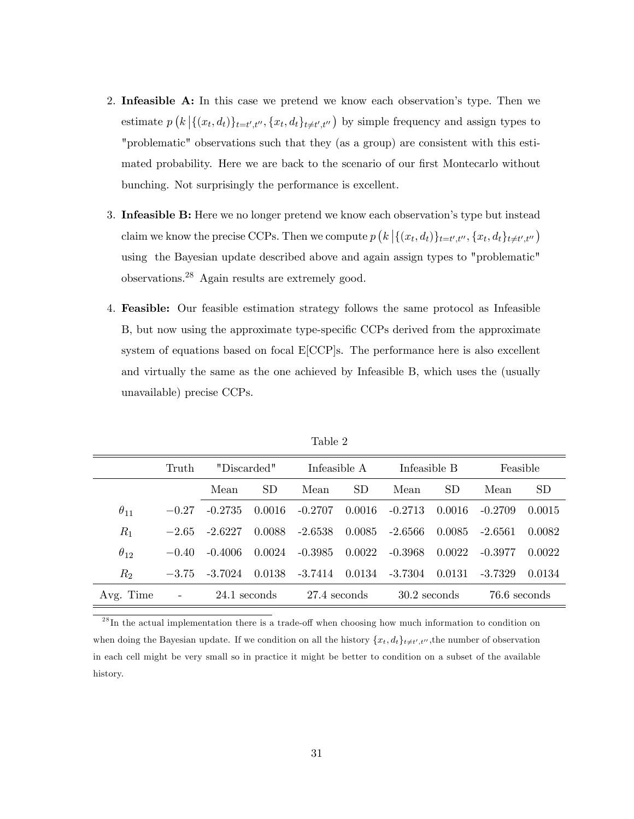- 2. Infeasible  $\mathbf{A}$ : In this case we pretend we know each observation's type. Then we estimate  $p(k | \{(x_t, d_t)\}_{t=t',t''}, \{x_t, d_t\}_{t \neq t',t''})$  by simple frequency and assign types to "problematic" observations such that they (as a group) are consistent with this estimated probability. Here we are back to the scenario of our first Montecarlo without bunching. Not surprisingly the performance is excellent.
- 3. Infeasible B: Here we no longer pretend we know each observation's type but instead claim we know the precise CCPs. Then we compute  $p\left(k \left|\{(x_t, d_t)\}_{t=t',t''}, \{x_t, d_t\}_{t \neq t',t''}\right.\right)$ using the Bayesian update described above and again assign types to "problematic" observations.<sup>28</sup> Again results are extremely good.
- 4. Feasible: Our feasible estimation strategy follows the same protocol as Infeasible B, but now using the approximate type-specific CCPs derived from the approximate system of equations based on focal E[CCP]s. The performance here is also excellent and virtually the same as the one achieved by Infeasible B, which uses the (usually unavailable) precise CCPs.

|               | Truth                    | "Discarded"  |        | Infeasible A |        | Infeasible B   |        | Feasible     |           |
|---------------|--------------------------|--------------|--------|--------------|--------|----------------|--------|--------------|-----------|
|               |                          | Mean         | SD.    | Mean         | SD.    | Mean           | SD.    | Mean         | <b>SD</b> |
| $\theta_{11}$ | $-0.27$                  | $-0.2735$    | 0.0016 | $-0.2707$    | 0.0016 | $-0.2713$      | 0.0016 | $-0.2709$    | 0.0015    |
| $R_1$         | $-2.65$                  | $-2.6227$    | 0.0088 | -2.6538      | 0.0085 | -2.6566        | 0.0085 | $-2.6561$    | 0.0082    |
| $\theta_{12}$ | $-0.40$                  | $-0.4006$    | 0.0024 | $-0.3985$    | 0.0022 | $-0.3968$      | 0.0022 | $-0.3977$    | 0.0022    |
| $R_{\rm 2}$   | $-3.75$                  | $-3.7024$    | 0.0138 | $-3.7414$    | 0.0134 | $-3.7304$      | 0.0131 | $-3.7329$    | 0.0134    |
| Avg. Time     | $\overline{\phantom{a}}$ | 24.1 seconds |        | 27.4 seconds |        | $30.2$ seconds |        | 76.6 seconds |           |

Table 2

 $^{28}$ In the actual implementation there is a trade-off when choosing how much information to condition on when doing the Bayesian update. If we condition on all the history  $\{x_t, d_t\}_{t \neq t', t''}$ , the number of observation in each cell might be very small so in practice it might be better to condition on a subset of the available history.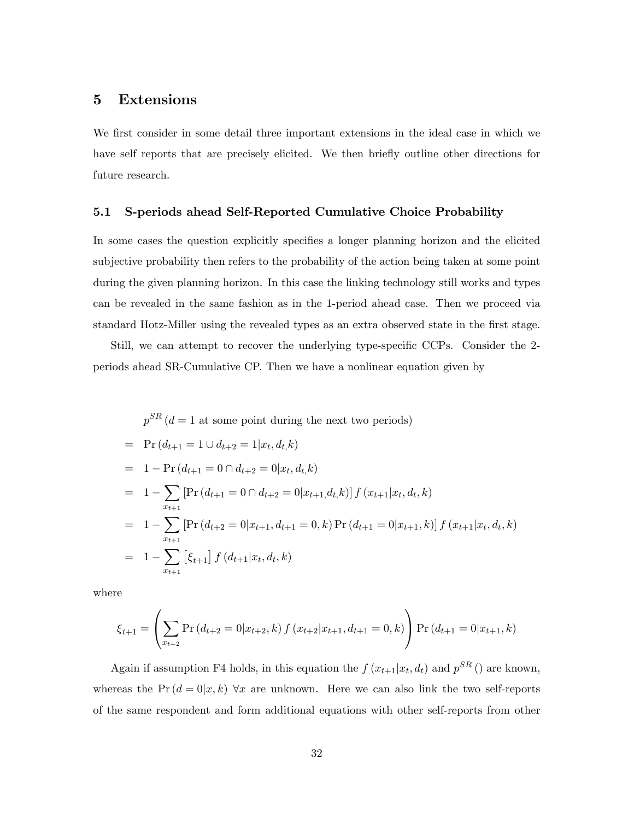## 5 Extensions

We first consider in some detail three important extensions in the ideal case in which we have self reports that are precisely elicited. We then briefly outline other directions for future research.

### 5.1 S-periods ahead Self-Reported Cumulative Choice Probability

In some cases the question explicitly specifies a longer planning horizon and the elicited subjective probability then refers to the probability of the action being taken at some point during the given planning horizon. In this case the linking technology still works and types can be revealed in the same fashion as in the 1-period ahead case. Then we proceed via standard Hotz-Miller using the revealed types as an extra observed state in the first stage.

Still, we can attempt to recover the underlying type-specific CCPs. Consider the 2periods ahead SR-Cumulative CP. Then we have a nonlinear equation given by

$$
p^{SR} (d = 1 \text{ at some point during the next two periods})
$$
  
=  $\Pr(d_{t+1} = 1 \cup d_{t+2} = 1 | x_t, d_t, k)$   
=  $1 - \Pr(d_{t+1} = 0 \cap d_{t+2} = 0 | x_t, d_t, k)$   
=  $1 - \sum_{x_{t+1}} [\Pr(d_{t+1} = 0 \cap d_{t+2} = 0 | x_{t+1}, d_t, k)] f(x_{t+1} | x_t, d_t, k)$   
=  $1 - \sum_{x_{t+1}} [\Pr(d_{t+2} = 0 | x_{t+1}, d_{t+1} = 0, k) \Pr(d_{t+1} = 0 | x_{t+1}, k)] f(x_{t+1} | x_t, d_t, k)$   
=  $1 - \sum_{x_{t+1}} [\xi_{t+1}] f(d_{t+1} | x_t, d_t, k)$ 

where

$$
\xi_{t+1} = \left(\sum_{x_{t+2}} \Pr\left(d_{t+2} = 0 | x_{t+2}, k\right) f\left(x_{t+2} | x_{t+1}, d_{t+1} = 0, k\right)\right) \Pr\left(d_{t+1} = 0 | x_{t+1}, k\right)
$$

Again if assumption F4 holds, in this equation the  $f(x_{t+1}|x_t, d_t)$  and  $p^{SR}$  () are known, whereas the  $Pr(d = 0|x, k)$   $\forall x$  are unknown. Here we can also link the two self-reports of the same respondent and form additional equations with other self-reports from other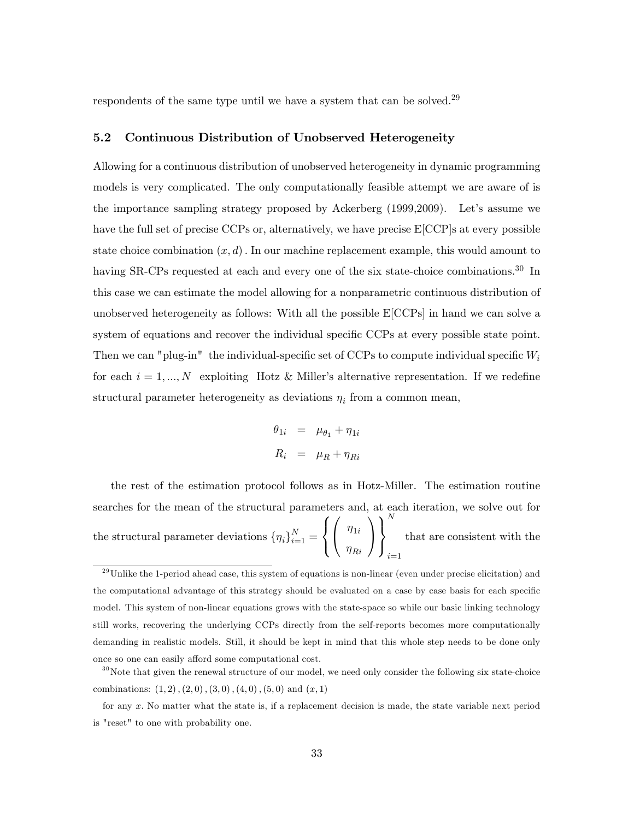respondents of the same type until we have a system that can be solved.<sup>29</sup>

### 5.2 Continuous Distribution of Unobserved Heterogeneity

Allowing for a continuous distribution of unobserved heterogeneity in dynamic programming models is very complicated. The only computationally feasible attempt we are aware of is the importance sampling strategy proposed by Ackerberg (1999,2009). Let's assume we have the full set of precise CCPs or, alternatively, we have precise  $E[CCP]$ s at every possible state choice combination  $(x, d)$ . In our machine replacement example, this would amount to having SR-CPs requested at each and every one of the six state-choice combinations.<sup>30</sup> In this case we can estimate the model allowing for a nonparametric continuous distribution of unobserved heterogeneity as follows: With all the possible E[CCPs] in hand we can solve a system of equations and recover the individual specific CCPs at every possible state point. Then we can "plug-in" the individual-specific set of CCPs to compute individual specific  $W_i$ for each  $i = 1, ..., N$  exploiting Hotz & Miller's alternative representation. If we redefine structural parameter heterogeneity as deviations  $\eta_i$  from a common mean,

$$
\theta_{1i} = \mu_{\theta_1} + \eta_{1i}
$$
  

$$
R_i = \mu_R + \eta_{Ri}
$$

the rest of the estimation protocol follows as in Hotz-Miller. The estimation routine searches for the mean of the structural parameters and, at each iteration, we solve out for the structural parameter deviations  $\{\eta_i\}_{i=1}^N =$  $\sqrt{2}$  $\frac{1}{2}$  $\mathbf{I}$  $\sqrt{ }$  $\mathbf{I}$  $\eta_{1i}$  $\eta_{Ri}$ 1 A  $\mathcal{L}$  $\mathbf{I}$  $\frac{1}{2}$ N  $i=1$ that are consistent with the

 $29$ Unlike the 1-period ahead case, this system of equations is non-linear (even under precise elicitation) and the computational advantage of this strategy should be evaluated on a case by case basis for each specific model. This system of non-linear equations grows with the state-space so while our basic linking technology still works, recovering the underlying CCPs directly from the self-reports becomes more computationally demanding in realistic models. Still, it should be kept in mind that this whole step needs to be done only once so one can easily afford some computational cost.

 $30$ Note that given the renewal structure of our model, we need only consider the following six state-choice combinations:  $(1, 2)$ ,  $(2, 0)$ ,  $(3, 0)$ ,  $(4, 0)$ ,  $(5, 0)$  and  $(x, 1)$ 

for any x: No matter what the state is, if a replacement decision is made, the state variable next period is "reset" to one with probability one.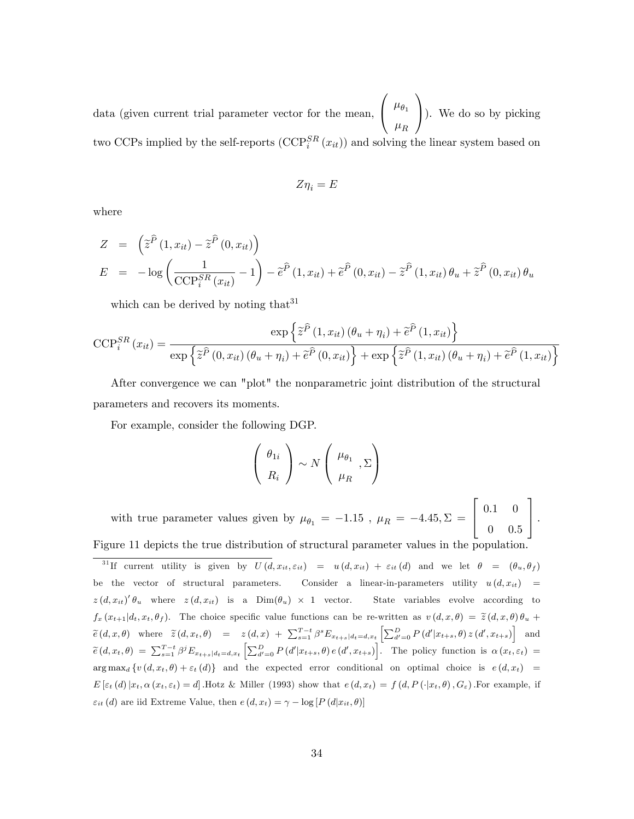data (given current trial parameter vector for the mean,  $\sqrt{ }$  $\mathbf{I}$  $\mu_{\theta_1}$  $\mu_R$ 1 ). We do so by picking two CCPs implied by the self-reports  $(\text{CCP}_{i}^{SR}(x_{it}))$  and solving the linear system based on

$$
Z\eta_i=E
$$

where

$$
Z = \left(\tilde{z}^{\tilde{P}}(1, x_{it}) - \tilde{z}^{\tilde{P}}(0, x_{it})\right)
$$
  
\n
$$
E = -\log\left(\frac{1}{\text{CCP}_{i}^{SR}(x_{it})} - 1\right) - \tilde{e}^{\tilde{P}}(1, x_{it}) + \tilde{e}^{\tilde{P}}(0, x_{it}) - \tilde{z}^{\tilde{P}}(1, x_{it})\theta_{u} + \tilde{z}^{\tilde{P}}(0, x_{it})\theta_{u}
$$

which can be derived by noting that  $31$ 

$$
\text{CCP}_{i}^{SR}(x_{it}) = \frac{\exp\left\{\tilde{z}^{\hat{P}}(1, x_{it})\left(\theta_{u} + \eta_{i}\right) + \tilde{e}^{\hat{P}}(1, x_{it})\right\}}{\exp\left\{\tilde{z}^{\hat{P}}(0, x_{it})\left(\theta_{u} + \eta_{i}\right) + \tilde{e}^{\hat{P}}(0, x_{it})\right\} + \exp\left\{\tilde{z}^{\hat{P}}(1, x_{it})\left(\theta_{u} + \eta_{i}\right) + \tilde{e}^{\hat{P}}(1, x_{it})\right\}}
$$

After convergence we can "plot" the nonparametric joint distribution of the structural parameters and recovers its moments.

For example, consider the following DGP.

$$
\left(\begin{array}{c}\n\theta_{1i} \\
R_i\n\end{array}\right) \sim N\left(\begin{array}{c}\n\mu_{\theta_1} \\
\mu_R\n\end{array}, \Sigma\right)
$$

with true parameter values given by  $\mu_{\theta_1} = -1.15$  ,  $\mu_R = -4.45, \Sigma =$  $\sqrt{2}$ 4  $0.1 \quad 0$  $0 \t 0.5$ 3  $|\cdot$ Figure 11 depicts the true distribution of structural parameter values in the population.

<sup>31</sup>If current utility is given by  $U(d, x_{it}, \varepsilon_{it}) = u(d, x_{it}) + \varepsilon_{it}(d)$  and we let  $\theta = (\theta_u, \theta_f)$ be the vector of structural parameters. Consider a linear-in-parameters utility  $u(d, x_{it}) =$  $z(d, x_{it})' \theta_u$  where  $z(d, x_{it})$  is a  $Dim(\theta_u) \times 1$  vector. State variables evolve according to  $f_x(x_{t+1}|d_t, x_t, \theta_f)$ . The choice specific value functions can be re-written as  $v(d, x, \theta) = \tilde{z}(d, x, \theta) \theta_u +$  $\widetilde{e}(d,x,\theta)$  where  $\widetilde{z}(d,x_t,\theta) = z(d,x) + \sum_{s=1}^{T-t} \beta^s E_{x_{t+s}|d_t=d,x_t} \left[ \sum_{d'=0}^D P(d'|x_{t+s},\theta) z(d',x_{t+s}) \right]$  and  $\widetilde{e}(d, x_t, \theta) = \sum_{s=1}^{T-t} \beta^j E_{x_{t+s}|d_t = d, x_t} \left[ \sum_{d'=0}^D P(d'|x_{t+s}, \theta) e(d', x_{t+s}) \right]$ . The policy function is  $\alpha(x_t, \varepsilon_t) =$  $\arg \max_d \{v(d, x_t, \theta) + \varepsilon_t(d)\}\$ and the expected error conditional on optimal choice is  $e(d, x_t) =$  $E\left[\varepsilon_t(d)\,x_t,\alpha\left(x_t,\varepsilon_t\right)=d\right]$ . Hotz & Miller (1993) show that  $e\left(d,x_t\right)=f\left(d,P\left(\cdot|x_t,\theta\right),G_{\varepsilon}\right)$ . For example, if  $\varepsilon_{it}$  (d) are iid Extreme Value, then  $e(d, x_t) = \gamma - \log [P(d|x_{it}, \theta)]$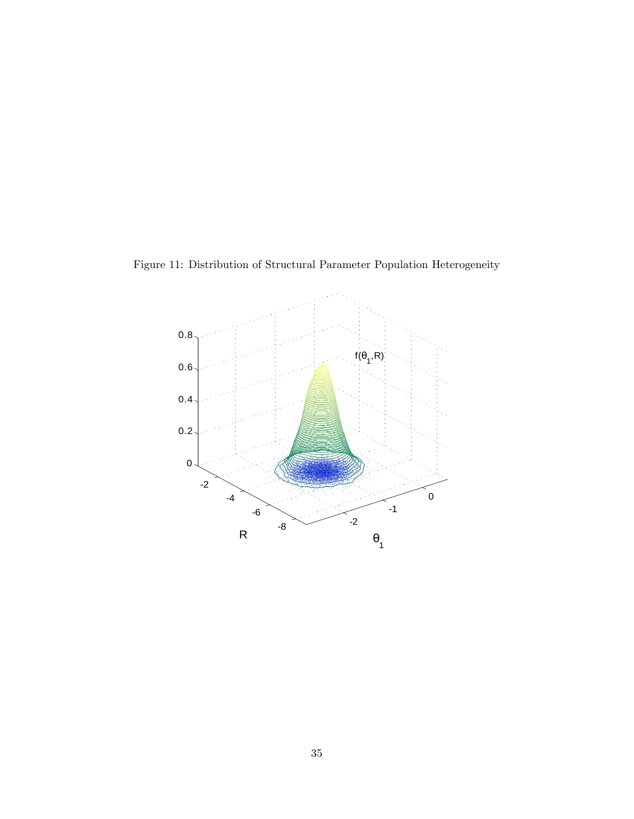Figure 11: Distribution of Structural Parameter Population Heterogeneity

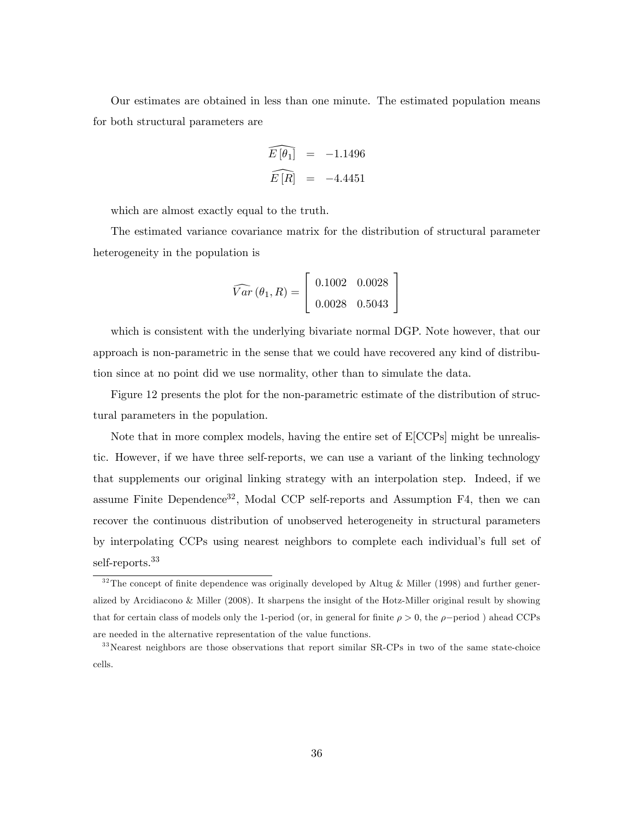Our estimates are obtained in less than one minute. The estimated population means for both structural parameters are

$$
\widehat{E[\theta_1]} = -1.1496
$$
  

$$
\widehat{E[R]} = -4.4451
$$

which are almost exactly equal to the truth.

The estimated variance covariance matrix for the distribution of structural parameter heterogeneity in the population is

$$
\widehat{Var}(\theta_1, R) = \begin{bmatrix} 0.1002 & 0.0028 \\ 0.0028 & 0.5043 \end{bmatrix}
$$

which is consistent with the underlying bivariate normal DGP. Note however, that our approach is non-parametric in the sense that we could have recovered any kind of distribution since at no point did we use normality, other than to simulate the data.

Figure 12 presents the plot for the non-parametric estimate of the distribution of structural parameters in the population.

Note that in more complex models, having the entire set of E[CCPs] might be unrealistic. However, if we have three self-reports, we can use a variant of the linking technology that supplements our original linking strategy with an interpolation step. Indeed, if we assume Finite Dependence<sup>32</sup>, Modal CCP self-reports and Assumption F4, then we can recover the continuous distribution of unobserved heterogeneity in structural parameters by interpolating CCPs using nearest neighbors to complete each individualís full set of self-reports.<sup>33</sup>

 $32$ The concept of finite dependence was originally developed by Altug & Miller (1998) and further generalized by Arcidiacono & Miller (2008). It sharpens the insight of the Hotz-Miller original result by showing that for certain class of models only the 1-period (or, in general for finite  $\rho > 0$ , the  $\rho$ -period) ahead CCPs are needed in the alternative representation of the value functions.

<sup>&</sup>lt;sup>33</sup>Nearest neighbors are those observations that report similar SR-CPs in two of the same state-choice cells.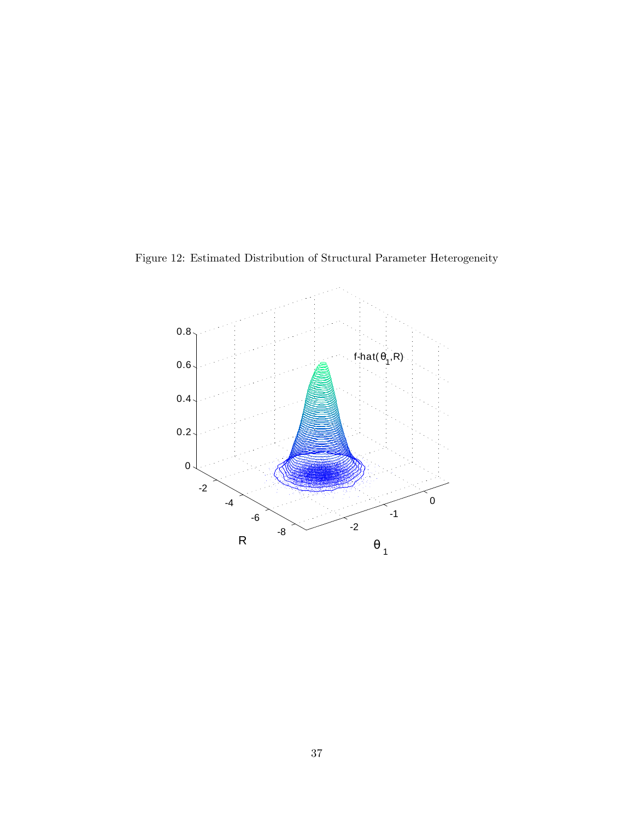

Figure 12: Estimated Distribution of Structural Parameter Heterogeneity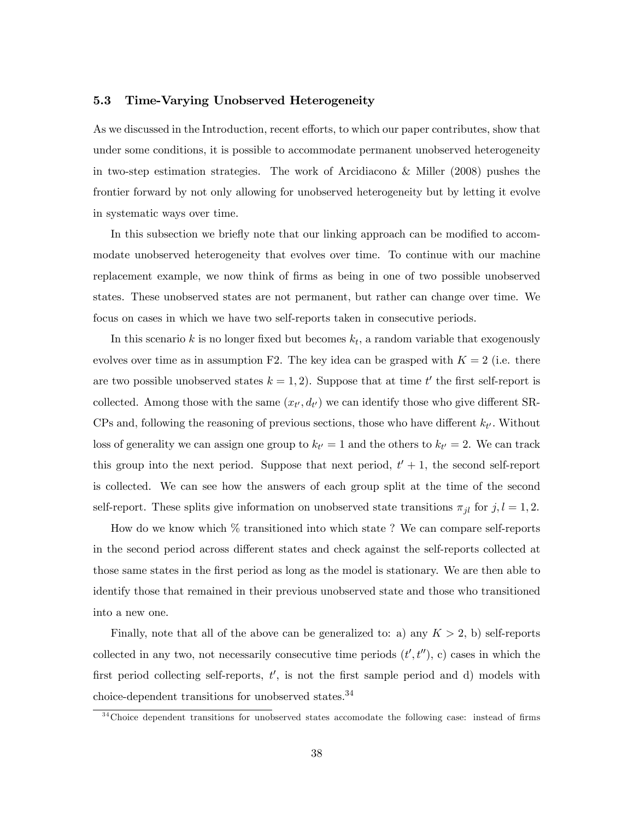### 5.3 Time-Varying Unobserved Heterogeneity

As we discussed in the Introduction, recent efforts, to which our paper contributes, show that under some conditions, it is possible to accommodate permanent unobserved heterogeneity in two-step estimation strategies. The work of Arcidiacono & Miller (2008) pushes the frontier forward by not only allowing for unobserved heterogeneity but by letting it evolve in systematic ways over time.

In this subsection we briefly note that our linking approach can be modified to accommodate unobserved heterogeneity that evolves over time. To continue with our machine replacement example, we now think of firms as being in one of two possible unobserved states. These unobserved states are not permanent, but rather can change over time. We focus on cases in which we have two self-reports taken in consecutive periods.

In this scenario  $k$  is no longer fixed but becomes  $k_t$ , a random variable that exogenously evolves over time as in assumption F2. The key idea can be grasped with  $K = 2$  (i.e. there are two possible unobserved states  $k = 1, 2$ . Suppose that at time  $t'$  the first self-report is collected. Among those with the same  $(x_{t'}, d_{t'})$  we can identify those who give different SR-CPs and, following the reasoning of previous sections, those who have different  $k_{t'}$ . Without loss of generality we can assign one group to  $k_{t'} = 1$  and the others to  $k_{t'} = 2$ . We can track this group into the next period. Suppose that next period,  $t' + 1$ , the second self-report is collected. We can see how the answers of each group split at the time of the second self-report. These splits give information on unobserved state transitions  $\pi_{jl}$  for  $j, l = 1, 2$ .

How do we know which % transitioned into which state ? We can compare self-reports in the second period across different states and check against the self-reports collected at those same states in the Örst period as long as the model is stationary. We are then able to identify those that remained in their previous unobserved state and those who transitioned into a new one.

Finally, note that all of the above can be generalized to: a) any  $K > 2$ , b) self-reports collected in any two, not necessarily consecutive time periods  $(t', t'')$ , c) cases in which the first period collecting self-reports,  $t'$ , is not the first sample period and d) models with choice-dependent transitions for unobserved states.<sup>34</sup>

 $34$ Choice dependent transitions for unobserved states accomodate the following case: instead of firms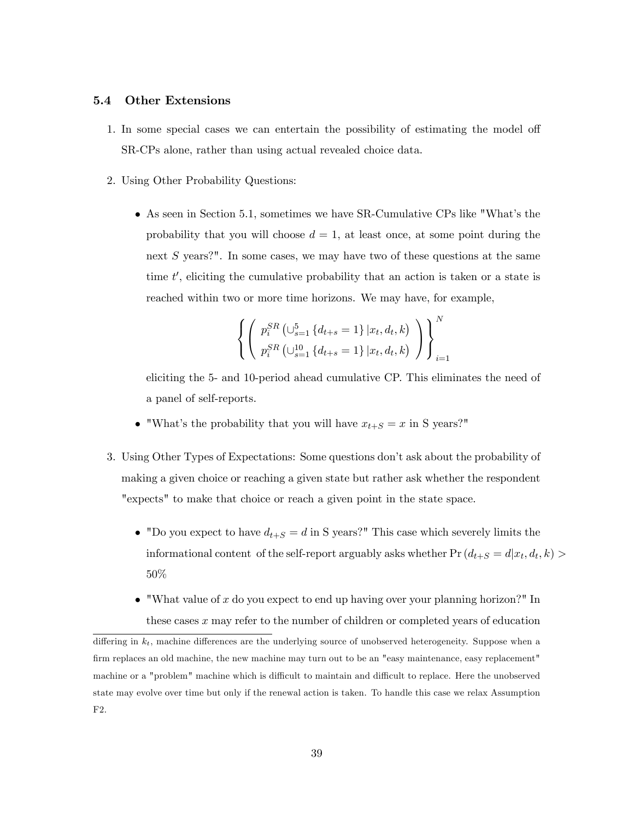#### 5.4 Other Extensions

- 1. In some special cases we can entertain the possibility of estimating the model of SR-CPs alone, rather than using actual revealed choice data.
- 2. Using Other Probability Questions:
	- As seen in Section 5.1, sometimes we have SR-Cumulative CPs like "Whatís the probability that you will choose  $d = 1$ , at least once, at some point during the next S years?". In some cases, we may have two of these questions at the same time  $t'$ , eliciting the cumulative probability that an action is taken or a state is reached within two or more time horizons. We may have, for example,

$$
\left\{ \left( p_i^{SR} \left( \bigcup_{s=1}^5 \{d_{t+s} = 1\} | x_t, d_t, k \right) \atop p_i^{SR} \left( \bigcup_{s=1}^1 \{d_{t+s} = 1\} | x_t, d_t, k \right) \right) \right\}_{i=1}^N
$$

eliciting the 5- and 10-period ahead cumulative CP. This eliminates the need of a panel of self-reports.

- "What's the probability that you will have  $x_{t+S} = x$  in S years?"
- 3. Using Other Types of Expectations: Some questions don't ask about the probability of making a given choice or reaching a given state but rather ask whether the respondent "expects" to make that choice or reach a given point in the state space.
	- "Do you expect to have  $d_{t+S} = d$  in S years?" This case which severely limits the informational content of the self-report arguably asks whether  $Pr(d_{t+S} = d | x_t, d_t, k)$ 50%
	- $\bullet$  "What value of x do you expect to end up having over your planning horizon?" In these cases x may refer to the number of children or completed years of education

differing in  $k_t$ , machine differences are the underlying source of unobserved heterogeneity. Suppose when a firm replaces an old machine, the new machine may turn out to be an "easy maintenance, easy replacement" machine or a "problem" machine which is difficult to maintain and difficult to replace. Here the unobserved state may evolve over time but only if the renewal action is taken. To handle this case we relax Assumption F2.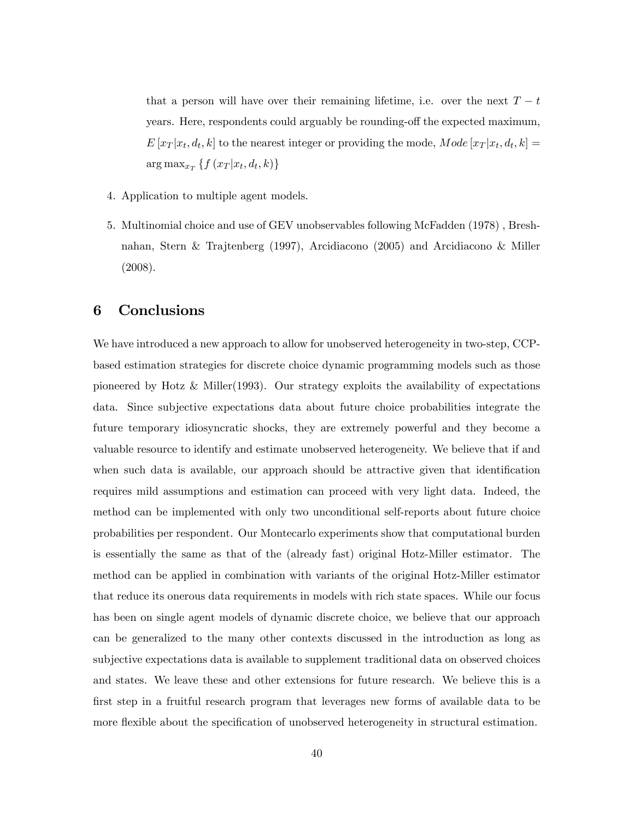that a person will have over their remaining lifetime, i.e. over the next  $T - t$ years. Here, respondents could arguably be rounding-off the expected maximum,  $E[x_T | x_t, d_t, k]$  to the nearest integer or providing the mode,  $Mode[x_T | x_t, d_t, k] =$  $\arg \max_{x_T} \{ f(x_T | x_t, d_t, k) \}$ 

- 4. Application to multiple agent models.
- 5. Multinomial choice and use of GEV unobservables following McFadden (1978) , Breshnahan, Stern & Trajtenberg (1997), Arcidiacono (2005) and Arcidiacono & Miller (2008).

### 6 Conclusions

We have introduced a new approach to allow for unobserved heterogeneity in two-step, CCPbased estimation strategies for discrete choice dynamic programming models such as those pioneered by Hotz  $\&$  Miller(1993). Our strategy exploits the availability of expectations data. Since subjective expectations data about future choice probabilities integrate the future temporary idiosyncratic shocks, they are extremely powerful and they become a valuable resource to identify and estimate unobserved heterogeneity. We believe that if and when such data is available, our approach should be attractive given that identification requires mild assumptions and estimation can proceed with very light data. Indeed, the method can be implemented with only two unconditional self-reports about future choice probabilities per respondent. Our Montecarlo experiments show that computational burden is essentially the same as that of the (already fast) original Hotz-Miller estimator. The method can be applied in combination with variants of the original Hotz-Miller estimator that reduce its onerous data requirements in models with rich state spaces. While our focus has been on single agent models of dynamic discrete choice, we believe that our approach can be generalized to the many other contexts discussed in the introduction as long as subjective expectations data is available to supplement traditional data on observed choices and states. We leave these and other extensions for future research. We believe this is a first step in a fruitful research program that leverages new forms of available data to be more flexible about the specification of unobserved heterogeneity in structural estimation.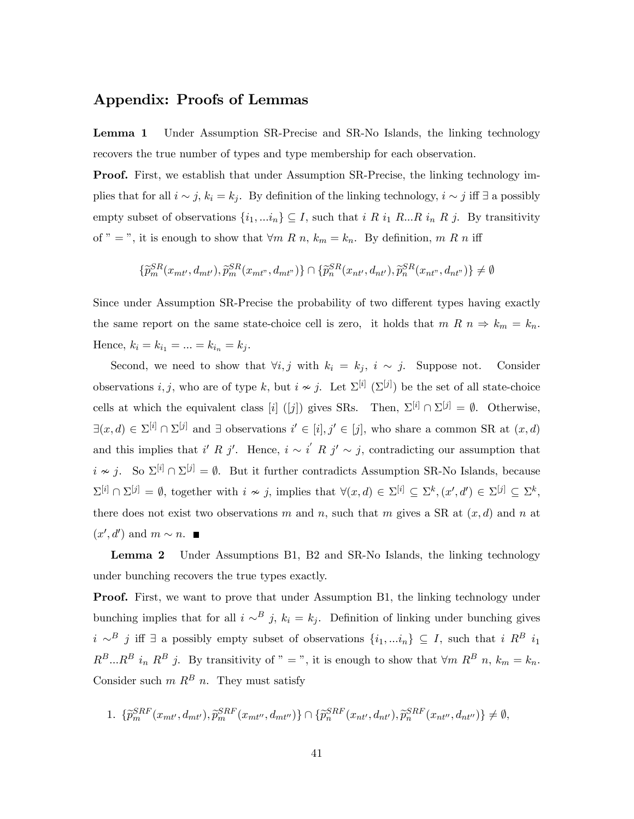### Appendix: Proofs of Lemmas

Lemma 1 Under Assumption SR-Precise and SR-No Islands, the linking technology recovers the true number of types and type membership for each observation.

Proof. First, we establish that under Assumption SR-Precise, the linking technology implies that for all  $i \sim j$ ,  $k_i = k_j$ . By definition of the linking technology,  $i \sim j$  iff  $\exists$  a possibly empty subset of observations  $\{i_1, \ldots i_n\} \subseteq I$ , such that  $i \ R \ i_1 \ R \ldots \ R \ i_n \ R \ j$ . By transitivity of " = ", it is enough to show that  $\forall m \ R \ n, k_m = k_n$ . By definition, m R n iff

$$
\{\widetilde{p}_m^{SR}(x_{mt'}, d_{mt'}), \widetilde{p}_m^{SR}(x_{mt''}, d_{mt''})\} \cap \{\widetilde{p}_n^{SR}(x_{nt'}, d_{nt'}), \widetilde{p}_n^{SR}(x_{nt''}, d_{nt''})\} \neq \emptyset
$$

Since under Assumption SR-Precise the probability of two different types having exactly the same report on the same state-choice cell is zero, it holds that  $m R n \Rightarrow k_m = k_n$ . Hence,  $k_i = k_{i_1} = ... = k_{i_n} = k_j$ .

Second, we need to show that  $\forall i, j$  with  $k_i = k_j$ ,  $i \sim j$ . Suppose not. Consider observations *i*, *j*, who are of type *k*, but  $i \nsim j$ . Let  $\Sigma^{[i]}$  ( $\Sigma^{[j]}$ ) be the set of all state-choice cells at which the equivalent class [i] ([j]) gives SRs. Then,  $\Sigma^{[i]} \cap \Sigma^{[j]} = \emptyset$ . Otherwise,  $\exists (x, d) \in \Sigma^{[i]} \cap \Sigma^{[j]}$  and  $\exists$  observations  $i' \in [i], j' \in [j]$ , who share a common SR at  $(x, d)$ and this implies that i' R j'. Hence,  $i \sim i'$  R j'  $\sim j$ , contradicting our assumption that  $i \nsim j$ . So  $\Sigma^{[i]} \cap \Sigma^{[j]} = \emptyset$ . But it further contradicts Assumption SR-No Islands, because  $\Sigma^{[i]} \cap \Sigma^{[j]} = \emptyset$ , together with  $i \nsim j$ , implies that  $\forall (x, d) \in \Sigma^{[i]} \subseteq \Sigma^k$ ,  $(x', d') \in \Sigma^{[j]} \subseteq \Sigma^k$ , there does not exist two observations m and n, such that m gives a SR at  $(x, d)$  and n at  $(x', d')$  and  $m \sim n$ .

Lemma 2 Under Assumptions B1, B2 and SR-No Islands, the linking technology under bunching recovers the true types exactly.

**Proof.** First, we want to prove that under Assumption B1, the linking technology under bunching implies that for all  $i \sim^B j$ ,  $k_i = k_j$ . Definition of linking under bunching gives  $i \sim^B j$  iff  $\exists$  a possibly empty subset of observations  $\{i_1, ... i_n\} \subseteq I$ , such that  $i R^B i_1$  $R^B...R^B$  i<sub>n</sub>  $R^B$  j. By transitivity of " = ", it is enough to show that  $\forall m \; R^B$  n,  $k_m = k_n$ . Consider such  $m R^B n$ . They must satisfy

1. 
$$
\{\widetilde{p}_m^{SRF}(x_{mt'}, d_{mt'}), \widetilde{p}_m^{SRF}(x_{mt''}, d_{mt''})\} \cap \{\widetilde{p}_n^{SRF}(x_{nt'}, d_{nt'}), \widetilde{p}_n^{SRF}(x_{nt''}, d_{nt''})\} \neq \emptyset,
$$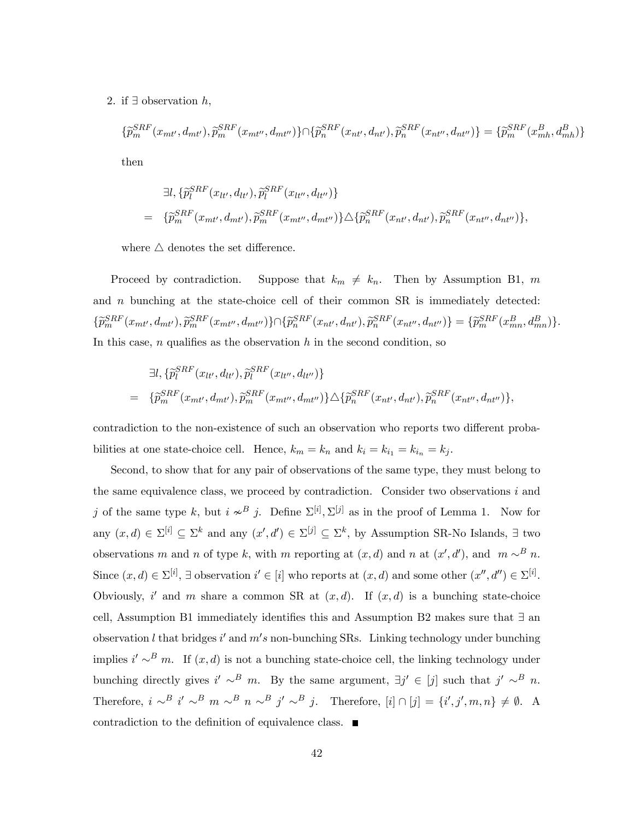2. if  $\exists$  observation  $h$ ,

$$
\{\tilde{p}_{m}^{SRF}(x_{mt'}, d_{mt'}), \tilde{p}_{m}^{SRF}(x_{mt''}, d_{mt''})\} \cap \{\tilde{p}_{n}^{SRF}(x_{nt'}, d_{nt'}), \tilde{p}_{n}^{SRF}(x_{nt''}, d_{nt''})\} = \{\tilde{p}_{m}^{SRF}(x_{mh}^{B}, d_{mh}^{B})\}
$$

then

$$
\exists l, \{\widetilde{p}_{l}^{SRF}(x_{lt'}, d_{lt'}), \widetilde{p}_{l}^{SRF}(x_{lt''}, d_{lt''})\}
$$
\n
$$
= \{\widetilde{p}_{m}^{SRF}(x_{mt'}, d_{mt'}), \widetilde{p}_{m}^{SRF}(x_{mt''}, d_{mt''})\} \triangle \{\widetilde{p}_{n}^{SRF}(x_{nt'}, d_{nt'}), \widetilde{p}_{n}^{SRF}(x_{nt''}, d_{nt''})\},
$$

where  $\triangle$  denotes the set difference.

Proceed by contradiction. Suppose that  $k_m \neq k_n$ . Then by Assumption B1, m and  $n$  bunching at the state-choice cell of their common SR is immediately detected:  $\{\widetilde{p}_m^{SRF}(x_{mt'}, d_{mt'}), \widetilde{p}_m^{SRF}(x_{mt''}, d_{mt''})\} \cap \{\widetilde{p}_n^{SRF}(x_{nt'}, d_{nt'}), \widetilde{p}_n^{SRF}(x_{nt''}, d_{nt''})\} = \{\widetilde{p}_m^{SRF}(x_{mn}^B, d_{mn}^B)\}.$ In this case,  $n$  qualifies as the observation  $h$  in the second condition, so

$$
\exists l, \{\tilde{p}_l^{SRF}(x_{lt'}, d_{lt'}), \tilde{p}_l^{SRF}(x_{lt''}, d_{lt''})\} \n= \{\tilde{p}_m^{SRF}(x_{mt'}, d_{mt'}), \tilde{p}_m^{SRF}(x_{mt''}, d_{mt''})\} \triangle \{\tilde{p}_n^{SRF}(x_{nt'}, d_{nt'}), \tilde{p}_n^{SRF}(x_{nt''}, d_{nt''})\},
$$

contradiction to the non-existence of such an observation who reports two different probabilities at one state-choice cell. Hence,  $k_m = k_n$  and  $k_i = k_{i_1} = k_{i_n} = k_j$ .

Second, to show that for any pair of observations of the same type, they must belong to the same equivalence class, we proceed by contradiction. Consider two observations  $i$  and j of the same type k, but  $i \nsim^B j$ . Define  $\Sigma^{[i]}, \Sigma^{[j]}$  as in the proof of Lemma 1. Now for any  $(x, d) \in \Sigma^{[i]} \subseteq \Sigma^k$  and any  $(x', d') \in \Sigma^{[j]} \subseteq \Sigma^k$ , by Assumption SR-No Islands,  $\exists$  two observations m and n of type k, with m reporting at  $(x, d)$  and n at  $(x', d')$ , and  $m \sim^B n$ . Since  $(x, d) \in \Sigma^{[i]}$ ,  $\exists$  observation  $i' \in [i]$  who reports at  $(x, d)$  and some other  $(x'', d'') \in \Sigma^{[i]}$ . Obviously, i' and m share a common SR at  $(x,d)$ . If  $(x,d)$  is a bunching state-choice cell, Assumption B1 immediately identifies this and Assumption B2 makes sure that  $\exists$  an observation l that bridges i' and  $m's$  non-bunching SRs. Linking technology under bunching implies  $i' \sim^B m$ . If  $(x, d)$  is not a bunching state-choice cell, the linking technology under bunching directly gives  $i' \sim^B m$ . By the same argument,  $\exists j' \in [j]$  such that  $j' \sim^B n$ . Therefore,  $i \sim^B i' \sim^B m \sim^B n \sim^B j' \sim^B j$ . Therefore,  $[i] \cap [j] = \{i', j', m, n\} \neq \emptyset$ . A contradiction to the definition of equivalence class.  $\blacksquare$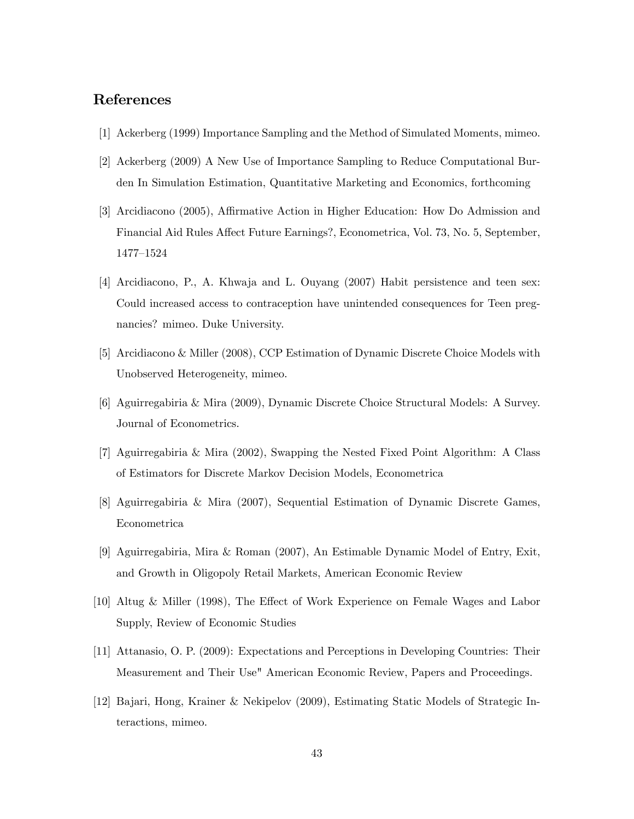# References

- [1] Ackerberg (1999) Importance Sampling and the Method of Simulated Moments, mimeo.
- [2] Ackerberg (2009) A New Use of Importance Sampling to Reduce Computational Burden In Simulation Estimation, Quantitative Marketing and Economics, forthcoming
- [3] Arcidiacono (2005), Affirmative Action in Higher Education: How Do Admission and Financial Aid Rules Affect Future Earnings?, Econometrica, Vol. 73, No. 5, September, 1477-1524
- [4] Arcidiacono, P., A. Khwaja and L. Ouyang (2007) Habit persistence and teen sex: Could increased access to contraception have unintended consequences for Teen pregnancies? mimeo. Duke University.
- [5] Arcidiacono & Miller (2008), CCP Estimation of Dynamic Discrete Choice Models with Unobserved Heterogeneity, mimeo.
- [6] Aguirregabiria & Mira (2009), Dynamic Discrete Choice Structural Models: A Survey. Journal of Econometrics.
- [7] Aguirregabiria & Mira (2002), Swapping the Nested Fixed Point Algorithm: A Class of Estimators for Discrete Markov Decision Models, Econometrica
- [8] Aguirregabiria & Mira (2007), Sequential Estimation of Dynamic Discrete Games, Econometrica
- [9] Aguirregabiria, Mira & Roman (2007), An Estimable Dynamic Model of Entry, Exit, and Growth in Oligopoly Retail Markets, American Economic Review
- [10] Altug & Miller (1998), The Effect of Work Experience on Female Wages and Labor Supply, Review of Economic Studies
- [11] Attanasio, O. P. (2009): Expectations and Perceptions in Developing Countries: Their Measurement and Their Use" American Economic Review, Papers and Proceedings.
- [12] Bajari, Hong, Krainer & Nekipelov (2009), Estimating Static Models of Strategic Interactions, mimeo.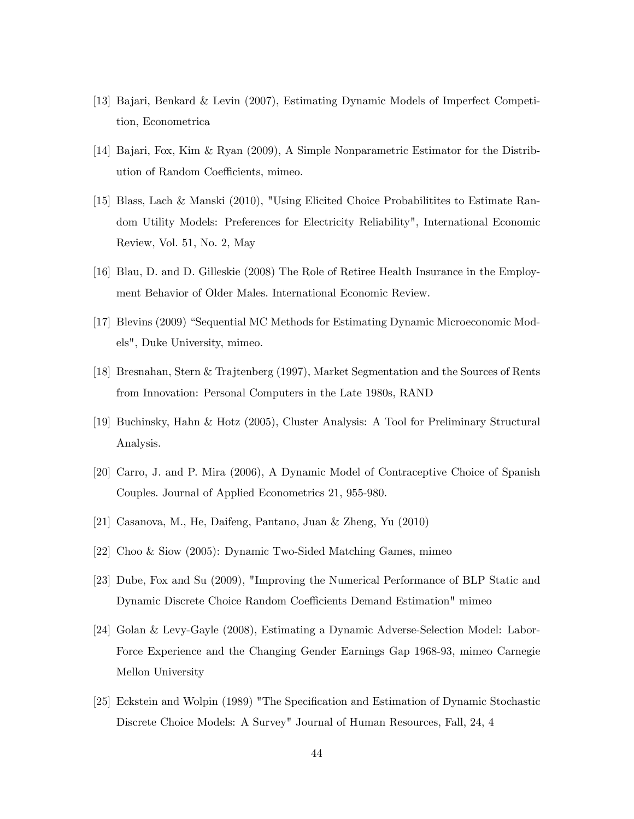- [13] Bajari, Benkard & Levin (2007), Estimating Dynamic Models of Imperfect Competition, Econometrica
- [14] Bajari, Fox, Kim & Ryan (2009), A Simple Nonparametric Estimator for the Distribution of Random Coefficients, mimeo.
- [15] Blass, Lach & Manski (2010), "Using Elicited Choice Probabilitites to Estimate Random Utility Models: Preferences for Electricity Reliability", International Economic Review, Vol. 51, No. 2, May
- [16] Blau, D. and D. Gilleskie (2008) The Role of Retiree Health Insurance in the Employment Behavior of Older Males. International Economic Review.
- [17] Blevins (2009) "Sequential MC Methods for Estimating Dynamic Microeconomic Models", Duke University, mimeo.
- [18] Bresnahan, Stern & Trajtenberg (1997), Market Segmentation and the Sources of Rents from Innovation: Personal Computers in the Late 1980s, RAND
- [19] Buchinsky, Hahn & Hotz (2005), Cluster Analysis: A Tool for Preliminary Structural Analysis.
- [20] Carro, J. and P. Mira (2006), A Dynamic Model of Contraceptive Choice of Spanish Couples. Journal of Applied Econometrics 21, 955-980.
- [21] Casanova, M., He, Daifeng, Pantano, Juan & Zheng, Yu (2010)
- [22] Choo & Siow (2005): Dynamic Two-Sided Matching Games, mimeo
- [23] Dube, Fox and Su (2009), "Improving the Numerical Performance of BLP Static and Dynamic Discrete Choice Random Coefficients Demand Estimation" mimeo
- [24] Golan & Levy-Gayle (2008), Estimating a Dynamic Adverse-Selection Model: Labor-Force Experience and the Changing Gender Earnings Gap 1968-93, mimeo Carnegie Mellon University
- [25] Eckstein and Wolpin (1989) "The Specification and Estimation of Dynamic Stochastic Discrete Choice Models: A Survey" Journal of Human Resources, Fall, 24, 4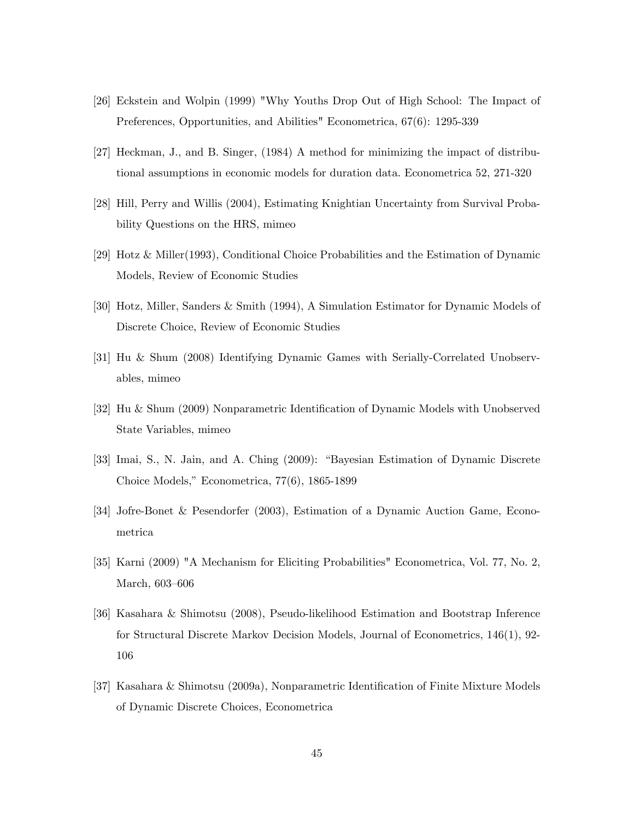- [26] Eckstein and Wolpin (1999) "Why Youths Drop Out of High School: The Impact of Preferences, Opportunities, and Abilities" Econometrica, 67(6): 1295-339
- [27] Heckman, J., and B. Singer, (1984) A method for minimizing the impact of distributional assumptions in economic models for duration data. Econometrica 52, 271-320
- [28] Hill, Perry and Willis (2004), Estimating Knightian Uncertainty from Survival Probability Questions on the HRS, mimeo
- [29] Hotz & Miller(1993), Conditional Choice Probabilities and the Estimation of Dynamic Models, Review of Economic Studies
- [30] Hotz, Miller, Sanders & Smith (1994), A Simulation Estimator for Dynamic Models of Discrete Choice, Review of Economic Studies
- [31] Hu & Shum (2008) Identifying Dynamic Games with Serially-Correlated Unobservables, mimeo
- [32] Hu & Shum (2009) Nonparametric Identification of Dynamic Models with Unobserved State Variables, mimeo
- [33] Imai, S., N. Jain, and A. Ching (2009): "Bayesian Estimation of Dynamic Discrete Choice Models," Econometrica,  $77(6)$ , 1865-1899
- [34] Jofre-Bonet & Pesendorfer (2003), Estimation of a Dynamic Auction Game, Econometrica
- [35] Karni (2009) "A Mechanism for Eliciting Probabilities" Econometrica, Vol. 77, No. 2, March, 603-606
- [36] Kasahara & Shimotsu (2008), Pseudo-likelihood Estimation and Bootstrap Inference for Structural Discrete Markov Decision Models, Journal of Econometrics, 146(1), 92- 106
- [37] Kasahara & Shimotsu (2009a), Nonparametric Identification of Finite Mixture Models of Dynamic Discrete Choices, Econometrica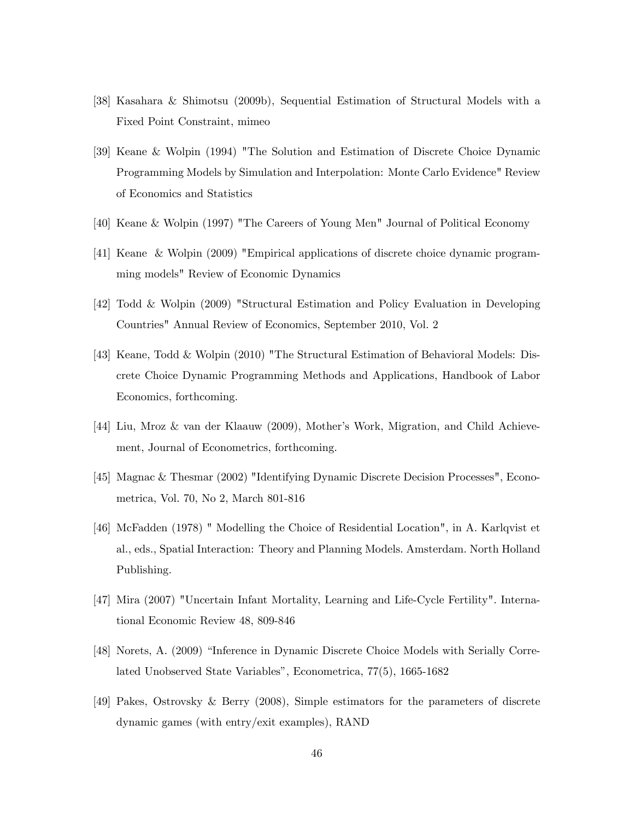- [38] Kasahara & Shimotsu (2009b), Sequential Estimation of Structural Models with a Fixed Point Constraint, mimeo
- [39] Keane & Wolpin (1994) "The Solution and Estimation of Discrete Choice Dynamic Programming Models by Simulation and Interpolation: Monte Carlo Evidence" Review of Economics and Statistics
- [40] Keane & Wolpin (1997) "The Careers of Young Men" Journal of Political Economy
- [41] Keane & Wolpin (2009) "Empirical applications of discrete choice dynamic programming models" Review of Economic Dynamics
- [42] Todd & Wolpin (2009) "Structural Estimation and Policy Evaluation in Developing Countries" Annual Review of Economics, September 2010, Vol. 2
- [43] Keane, Todd & Wolpin (2010) "The Structural Estimation of Behavioral Models: Discrete Choice Dynamic Programming Methods and Applications, Handbook of Labor Economics, forthcoming.
- [44] Liu, Mroz & van der Klaauw (2009), Motherís Work, Migration, and Child Achievement, Journal of Econometrics, forthcoming.
- [45] Magnac & Thesmar (2002) "Identifying Dynamic Discrete Decision Processes", Econometrica, Vol. 70, No 2, March 801-816
- [46] McFadden (1978) " Modelling the Choice of Residential Location", in A. Karlqvist et al., eds., Spatial Interaction: Theory and Planning Models. Amsterdam. North Holland Publishing.
- [47] Mira (2007) "Uncertain Infant Mortality, Learning and Life-Cycle Fertility". International Economic Review 48, 809-846
- [48] Norets, A. (2009) "Inference in Dynamic Discrete Choice Models with Serially Correlated Unobserved State Variables", Econometrica, 77(5), 1665-1682
- [49] Pakes, Ostrovsky & Berry (2008), Simple estimators for the parameters of discrete dynamic games (with entry/exit examples), RAND